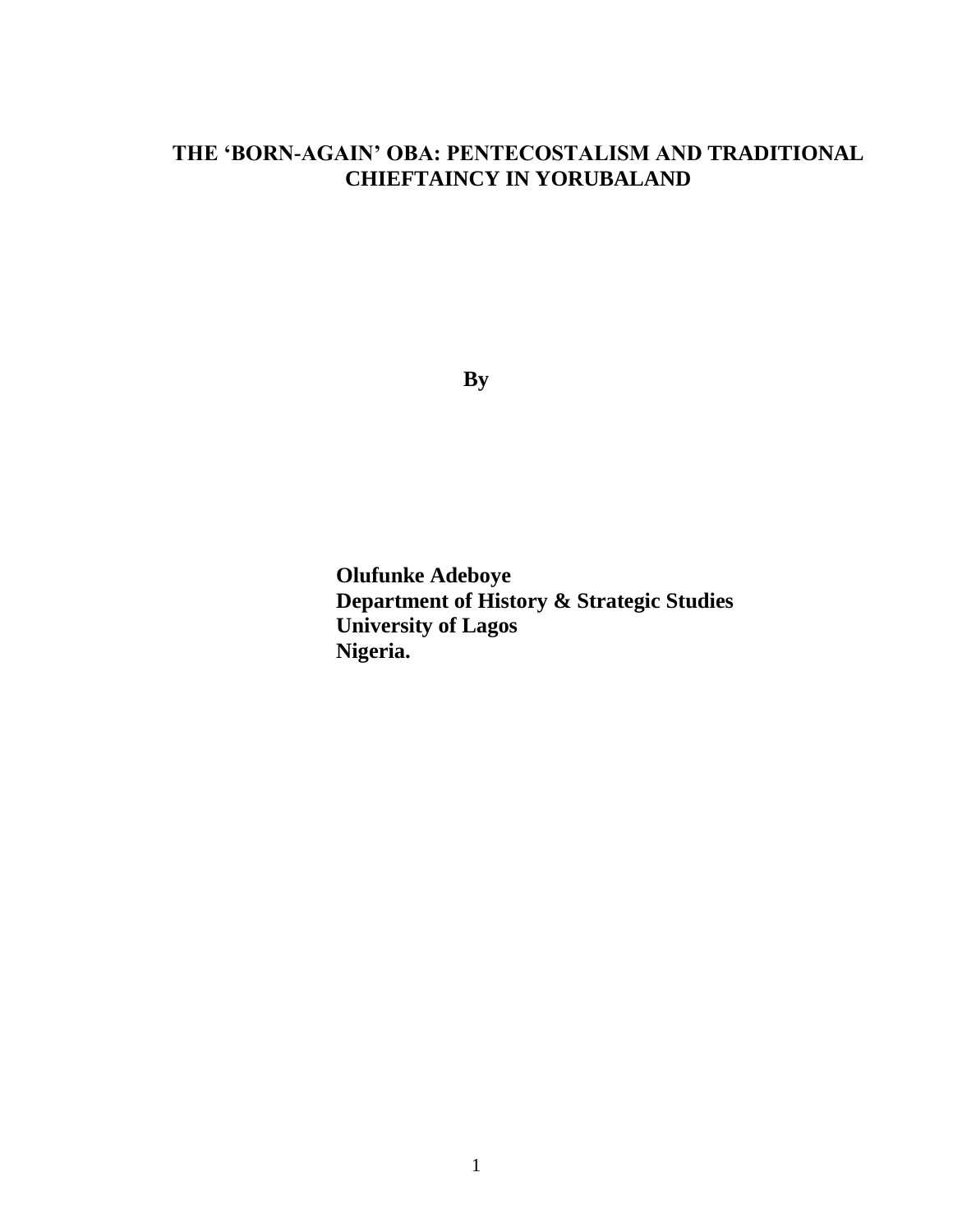# **THE 'BORN-AGAIN' OBA: PENTECOSTALISM AND TRADITIONAL CHIEFTAINCY IN YORUBALAND**

**By**

**Olufunke Adeboye Department of History & Strategic Studies University of Lagos Nigeria.**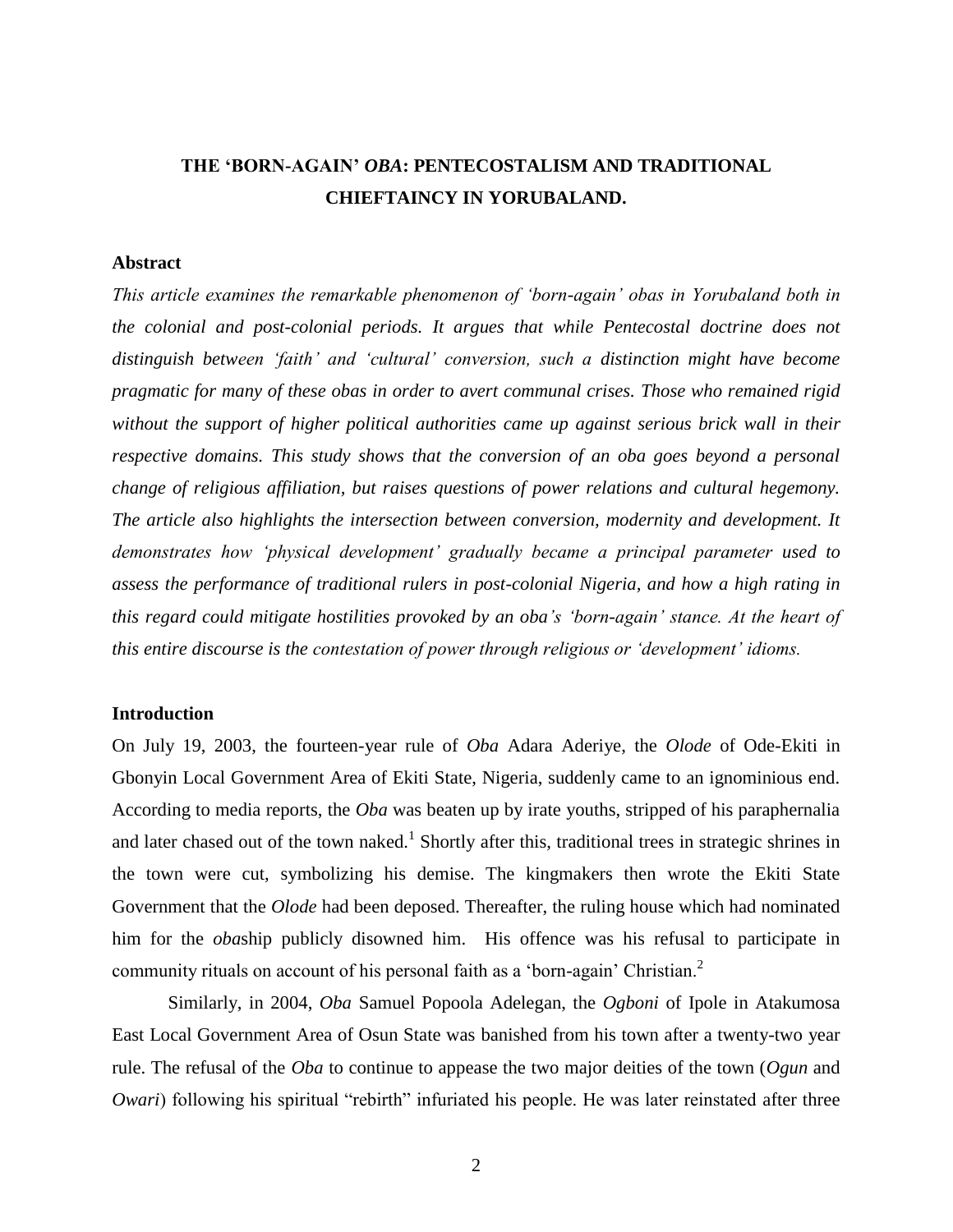# **THE 'BORN-AGAIN'** *OBA***: PENTECOSTALISM AND TRADITIONAL CHIEFTAINCY IN YORUBALAND.**

#### **Abstract**

*This article examines the remarkable phenomenon of 'born-again' obas in Yorubaland both in the colonial and post-colonial periods. It argues that while Pentecostal doctrine does not distinguish between 'faith' and 'cultural' conversion, such a distinction might have become pragmatic for many of these obas in order to avert communal crises. Those who remained rigid without the support of higher political authorities came up against serious brick wall in their respective domains. This study shows that the conversion of an oba goes beyond a personal change of religious affiliation, but raises questions of power relations and cultural hegemony. The article also highlights the intersection between conversion, modernity and development. It demonstrates how 'physical development' gradually became a principal parameter used to assess the performance of traditional rulers in post-colonial Nigeria, and how a high rating in this regard could mitigate hostilities provoked by an oba's 'born-again' stance. At the heart of this entire discourse is the contestation of power through religious or 'development' idioms.*

#### **Introduction**

On July 19, 2003, the fourteen-year rule of *Oba* Adara Aderiye, the *Olode* of Ode-Ekiti in Gbonyin Local Government Area of Ekiti State, Nigeria, suddenly came to an ignominious end. According to media reports, the *Oba* was beaten up by irate youths, stripped of his paraphernalia and later chased out of the town naked.<sup>1</sup> Shortly after this, traditional trees in strategic shrines in the town were cut, symbolizing his demise. The kingmakers then wrote the Ekiti State Government that the *Olode* had been deposed. Thereafter, the ruling house which had nominated him for the *oba*ship publicly disowned him. His offence was his refusal to participate in community rituals on account of his personal faith as a 'born-again' Christian.<sup>2</sup>

Similarly, in 2004, *Oba* Samuel Popoola Adelegan, the *Ogboni* of Ipole in Atakumosa East Local Government Area of Osun State was banished from his town after a twenty-two year rule. The refusal of the *Oba* to continue to appease the two major deities of the town (*Ogun* and *Owari*) following his spiritual "rebirth" infuriated his people. He was later reinstated after three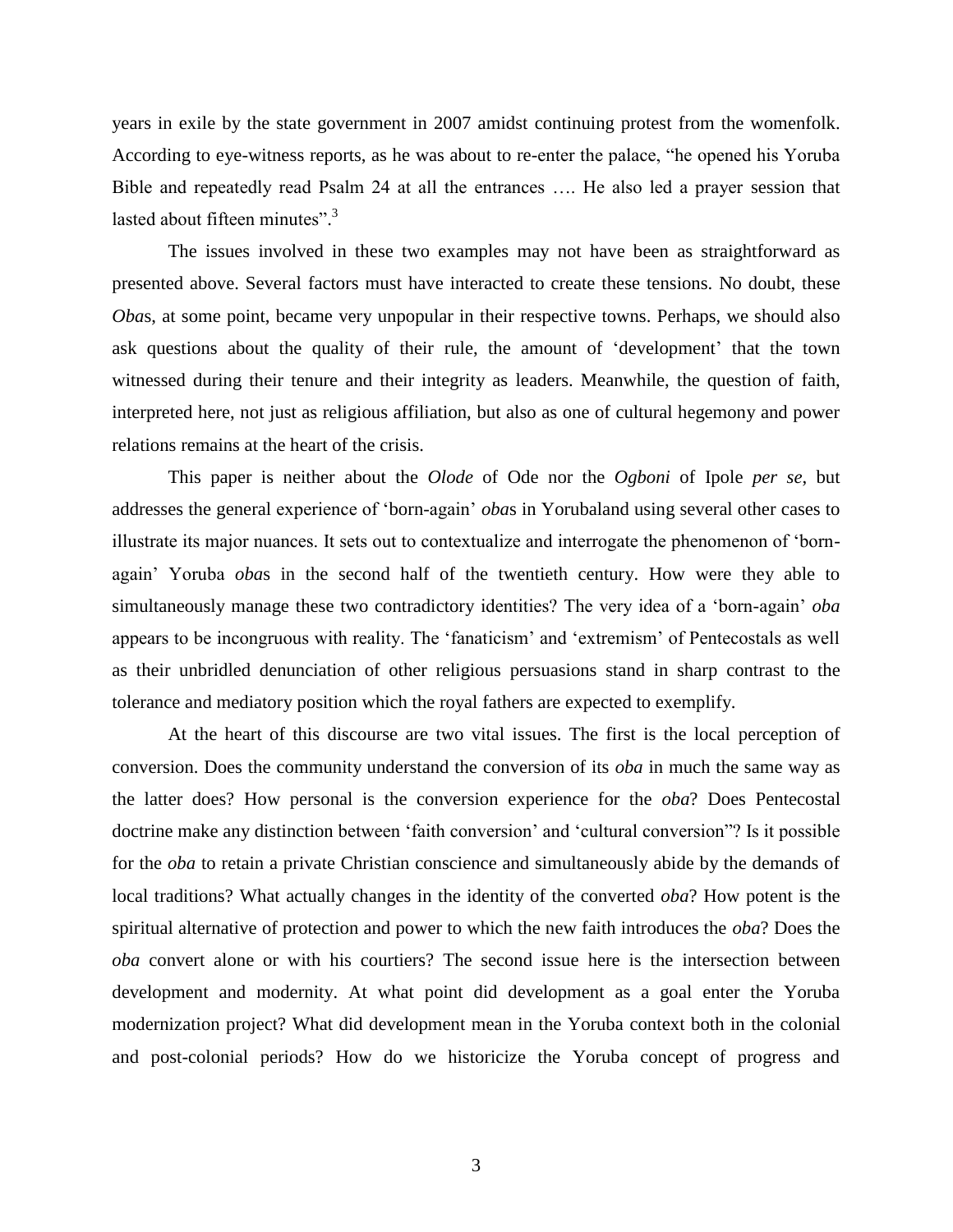years in exile by the state government in 2007 amidst continuing protest from the womenfolk. According to eye-witness reports, as he was about to re-enter the palace, "he opened his Yoruba Bible and repeatedly read Psalm 24 at all the entrances …. He also led a prayer session that lasted about fifteen minutes".<sup>3</sup>

The issues involved in these two examples may not have been as straightforward as presented above. Several factors must have interacted to create these tensions. No doubt, these *Obas*, at some point, became very unpopular in their respective towns. Perhaps, we should also ask questions about the quality of their rule, the amount of 'development' that the town witnessed during their tenure and their integrity as leaders. Meanwhile, the question of faith, interpreted here, not just as religious affiliation, but also as one of cultural hegemony and power relations remains at the heart of the crisis.

This paper is neither about the *Olode* of Ode nor the *Ogboni* of Ipole *per se*, but addresses the general experience of 'born-again' *oba*s in Yorubaland using several other cases to illustrate its major nuances. It sets out to contextualize and interrogate the phenomenon of 'bornagain' Yoruba *oba*s in the second half of the twentieth century. How were they able to simultaneously manage these two contradictory identities? The very idea of a 'born-again' *oba* appears to be incongruous with reality. The 'fanaticism' and 'extremism' of Pentecostals as well as their unbridled denunciation of other religious persuasions stand in sharp contrast to the tolerance and mediatory position which the royal fathers are expected to exemplify.

At the heart of this discourse are two vital issues. The first is the local perception of conversion. Does the community understand the conversion of its *oba* in much the same way as the latter does? How personal is the conversion experience for the *oba*? Does Pentecostal doctrine make any distinction between 'faith conversion' and 'cultural conversion"? Is it possible for the *oba* to retain a private Christian conscience and simultaneously abide by the demands of local traditions? What actually changes in the identity of the converted *oba*? How potent is the spiritual alternative of protection and power to which the new faith introduces the *oba*? Does the *oba* convert alone or with his courtiers? The second issue here is the intersection between development and modernity. At what point did development as a goal enter the Yoruba modernization project? What did development mean in the Yoruba context both in the colonial and post-colonial periods? How do we historicize the Yoruba concept of progress and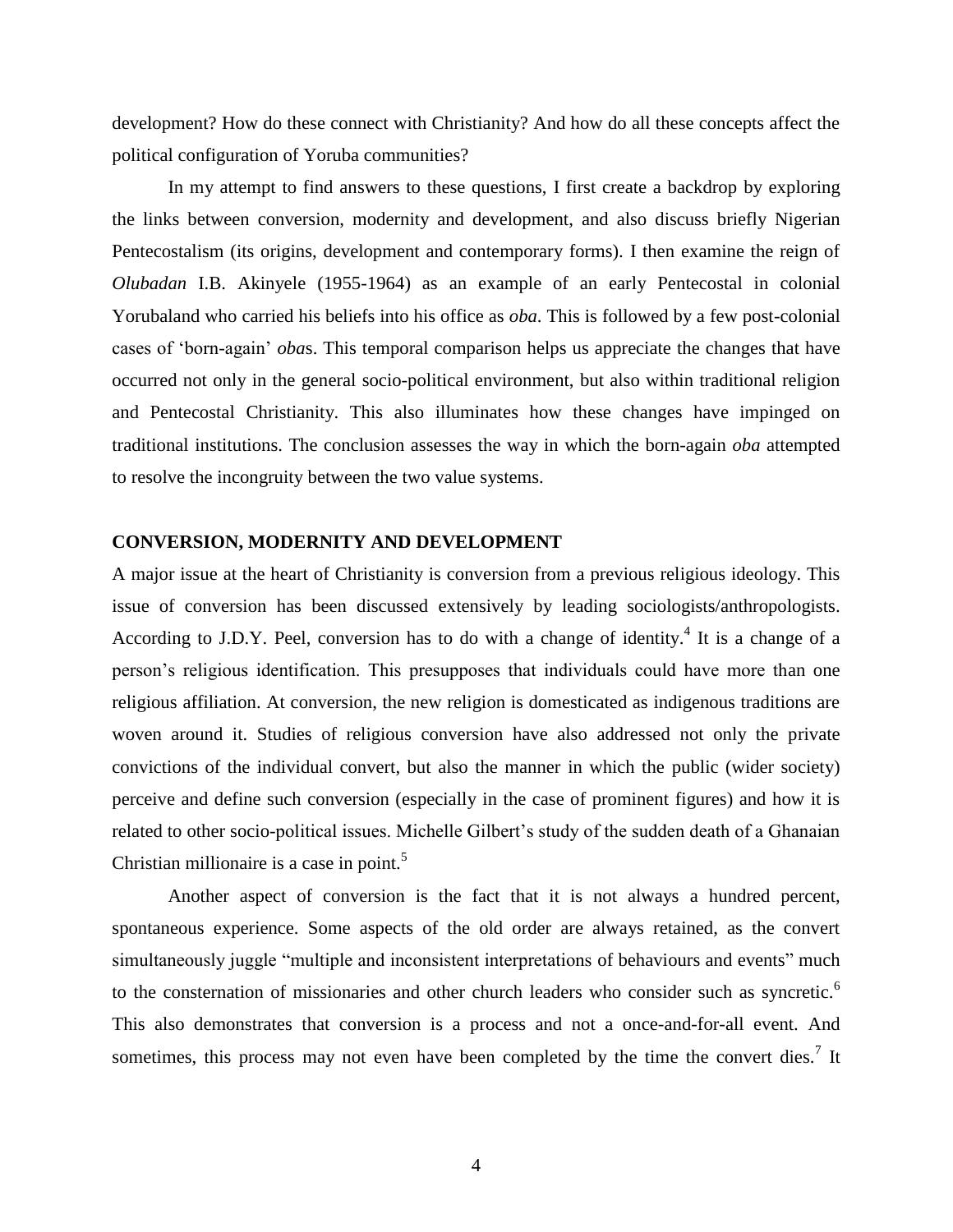development? How do these connect with Christianity? And how do all these concepts affect the political configuration of Yoruba communities?

In my attempt to find answers to these questions, I first create a backdrop by exploring the links between conversion, modernity and development, and also discuss briefly Nigerian Pentecostalism (its origins, development and contemporary forms). I then examine the reign of *Olubadan* I.B. Akinyele (1955-1964) as an example of an early Pentecostal in colonial Yorubaland who carried his beliefs into his office as *oba*. This is followed by a few post-colonial cases of 'born-again' *oba*s. This temporal comparison helps us appreciate the changes that have occurred not only in the general socio-political environment, but also within traditional religion and Pentecostal Christianity. This also illuminates how these changes have impinged on traditional institutions. The conclusion assesses the way in which the born-again *oba* attempted to resolve the incongruity between the two value systems.

### **CONVERSION, MODERNITY AND DEVELOPMENT**

A major issue at the heart of Christianity is conversion from a previous religious ideology. This issue of conversion has been discussed extensively by leading sociologists/anthropologists. According to J.D.Y. Peel, conversion has to do with a change of identity.<sup>4</sup> It is a change of a person's religious identification. This presupposes that individuals could have more than one religious affiliation. At conversion, the new religion is domesticated as indigenous traditions are woven around it. Studies of religious conversion have also addressed not only the private convictions of the individual convert, but also the manner in which the public (wider society) perceive and define such conversion (especially in the case of prominent figures) and how it is related to other socio-political issues. Michelle Gilbert's study of the sudden death of a Ghanaian Christian millionaire is a case in point.<sup>5</sup>

Another aspect of conversion is the fact that it is not always a hundred percent, spontaneous experience. Some aspects of the old order are always retained, as the convert simultaneously juggle "multiple and inconsistent interpretations of behaviours and events" much to the consternation of missionaries and other church leaders who consider such as syncretic.<sup>6</sup> This also demonstrates that conversion is a process and not a once-and-for-all event. And sometimes, this process may not even have been completed by the time the convert dies.<sup>7</sup> It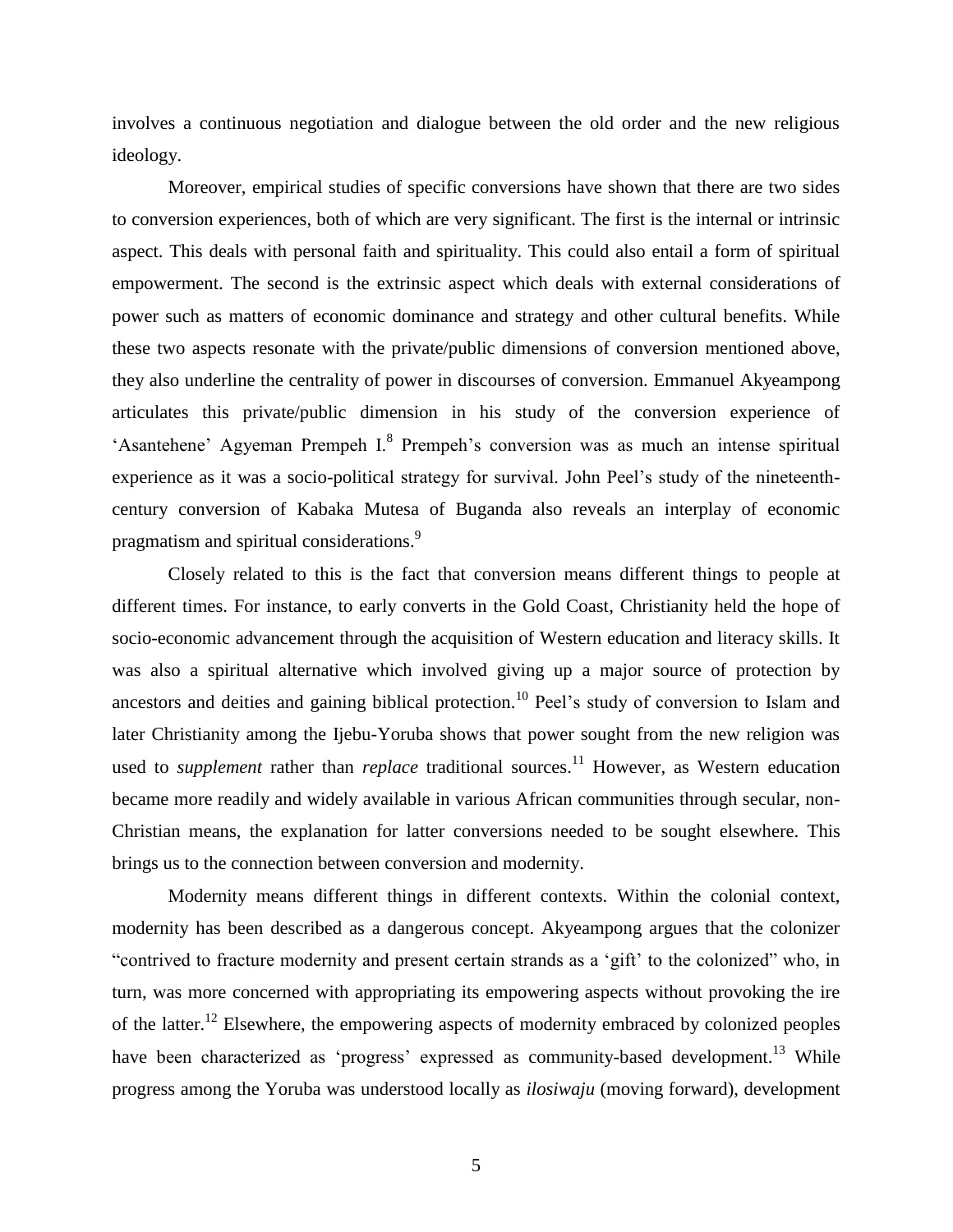involves a continuous negotiation and dialogue between the old order and the new religious ideology.

Moreover, empirical studies of specific conversions have shown that there are two sides to conversion experiences, both of which are very significant. The first is the internal or intrinsic aspect. This deals with personal faith and spirituality. This could also entail a form of spiritual empowerment. The second is the extrinsic aspect which deals with external considerations of power such as matters of economic dominance and strategy and other cultural benefits. While these two aspects resonate with the private/public dimensions of conversion mentioned above, they also underline the centrality of power in discourses of conversion. Emmanuel Akyeampong articulates this private/public dimension in his study of the conversion experience of 'Asantehene' Agyeman Prempeh I.<sup>8</sup> Prempeh's conversion was as much an intense spiritual experience as it was a socio-political strategy for survival. John Peel's study of the nineteenthcentury conversion of Kabaka Mutesa of Buganda also reveals an interplay of economic pragmatism and spiritual considerations.<sup>9</sup>

Closely related to this is the fact that conversion means different things to people at different times. For instance, to early converts in the Gold Coast, Christianity held the hope of socio-economic advancement through the acquisition of Western education and literacy skills. It was also a spiritual alternative which involved giving up a major source of protection by ancestors and deities and gaining biblical protection.<sup>10</sup> Peel's study of conversion to Islam and later Christianity among the Ijebu-Yoruba shows that power sought from the new religion was used to *supplement* rather than *replace* traditional sources.<sup>11</sup> However, as Western education became more readily and widely available in various African communities through secular, non-Christian means, the explanation for latter conversions needed to be sought elsewhere. This brings us to the connection between conversion and modernity.

Modernity means different things in different contexts. Within the colonial context, modernity has been described as a dangerous concept. Akyeampong argues that the colonizer "contrived to fracture modernity and present certain strands as a 'gift' to the colonized" who, in turn, was more concerned with appropriating its empowering aspects without provoking the ire of the latter.<sup>12</sup> Elsewhere, the empowering aspects of modernity embraced by colonized peoples have been characterized as 'progress' expressed as community-based development.<sup>13</sup> While progress among the Yoruba was understood locally as *ilosiwaju* (moving forward), development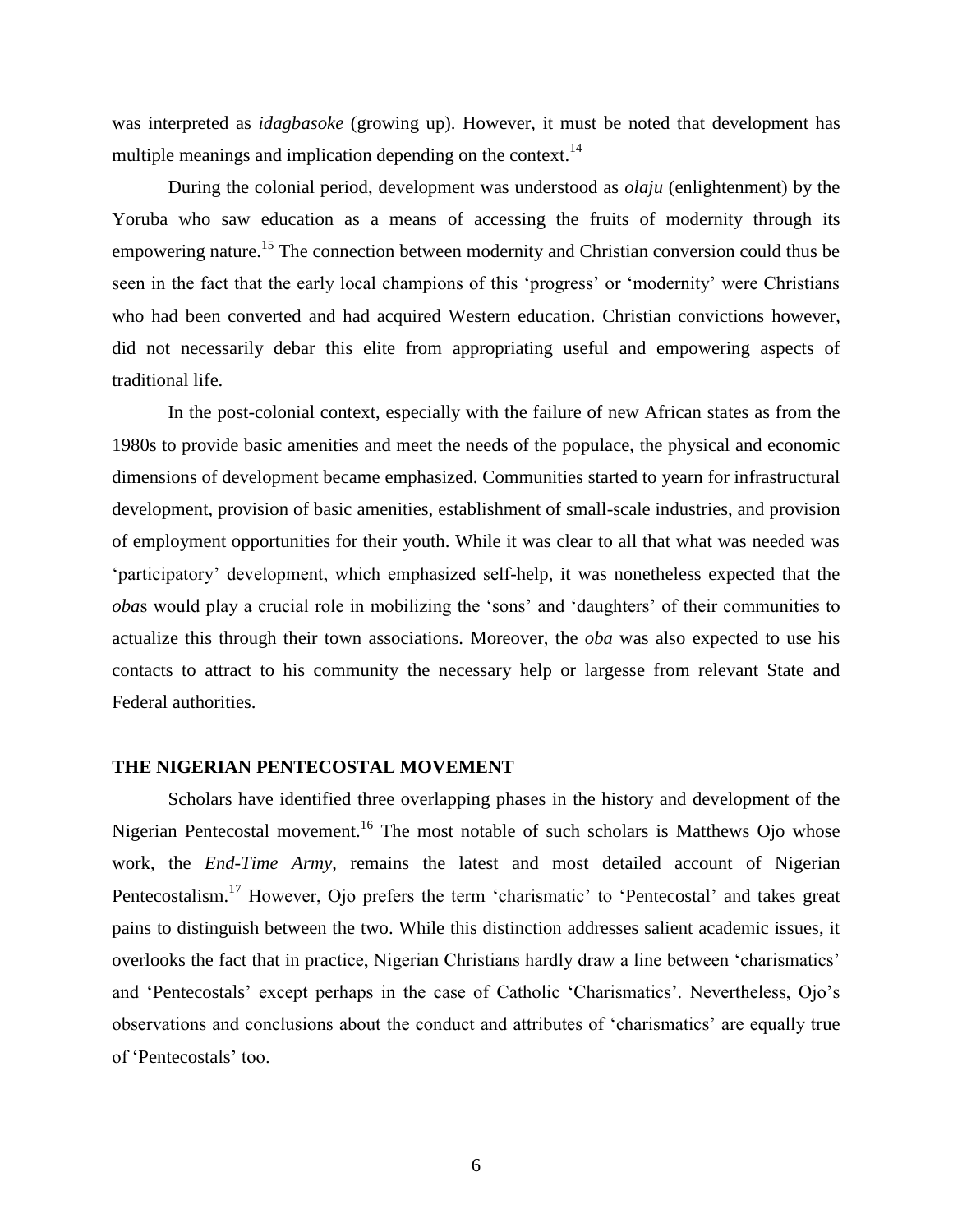was interpreted as *idagbasoke* (growing up). However, it must be noted that development has multiple meanings and implication depending on the context.<sup>14</sup>

During the colonial period, development was understood as *olaju* (enlightenment) by the Yoruba who saw education as a means of accessing the fruits of modernity through its empowering nature.<sup>15</sup> The connection between modernity and Christian conversion could thus be seen in the fact that the early local champions of this 'progress' or 'modernity' were Christians who had been converted and had acquired Western education. Christian convictions however, did not necessarily debar this elite from appropriating useful and empowering aspects of traditional life.

In the post-colonial context, especially with the failure of new African states as from the 1980s to provide basic amenities and meet the needs of the populace, the physical and economic dimensions of development became emphasized. Communities started to yearn for infrastructural development, provision of basic amenities, establishment of small-scale industries, and provision of employment opportunities for their youth. While it was clear to all that what was needed was 'participatory' development, which emphasized self-help, it was nonetheless expected that the *oba*s would play a crucial role in mobilizing the 'sons' and 'daughters' of their communities to actualize this through their town associations. Moreover, the *oba* was also expected to use his contacts to attract to his community the necessary help or largesse from relevant State and Federal authorities.

## **THE NIGERIAN PENTECOSTAL MOVEMENT**

Scholars have identified three overlapping phases in the history and development of the Nigerian Pentecostal movement.<sup>16</sup> The most notable of such scholars is Matthews Ojo whose work, the *End-Time Army*, remains the latest and most detailed account of Nigerian Pentecostalism.<sup>17</sup> However, Ojo prefers the term 'charismatic' to 'Pentecostal' and takes great pains to distinguish between the two. While this distinction addresses salient academic issues, it overlooks the fact that in practice, Nigerian Christians hardly draw a line between 'charismatics' and 'Pentecostals' except perhaps in the case of Catholic 'Charismatics'. Nevertheless, Ojo's observations and conclusions about the conduct and attributes of 'charismatics' are equally true of 'Pentecostals' too.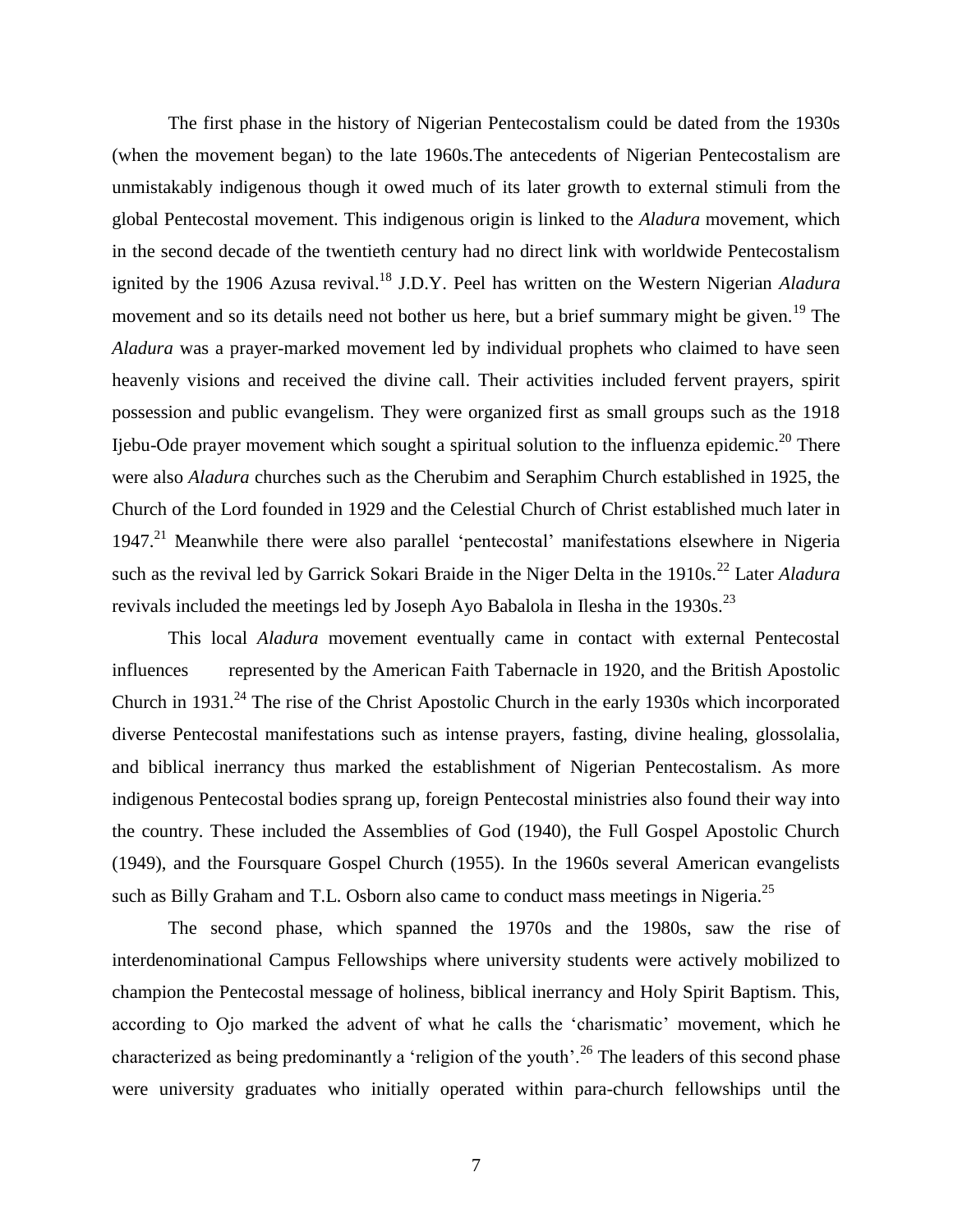The first phase in the history of Nigerian Pentecostalism could be dated from the 1930s (when the movement began) to the late 1960s.The antecedents of Nigerian Pentecostalism are unmistakably indigenous though it owed much of its later growth to external stimuli from the global Pentecostal movement. This indigenous origin is linked to the *Aladura* movement, which in the second decade of the twentieth century had no direct link with worldwide Pentecostalism ignited by the 1906 Azusa revival.<sup>18</sup> J.D.Y. Peel has written on the Western Nigerian *Aladura* movement and so its details need not bother us here, but a brief summary might be given.<sup>19</sup> The *Aladura* was a prayer-marked movement led by individual prophets who claimed to have seen heavenly visions and received the divine call. Their activities included fervent prayers, spirit possession and public evangelism. They were organized first as small groups such as the 1918 Ijebu-Ode prayer movement which sought a spiritual solution to the influenza epidemic.<sup>20</sup> There were also *Aladura* churches such as the Cherubim and Seraphim Church established in 1925, the Church of the Lord founded in 1929 and the Celestial Church of Christ established much later in 1947.<sup>21</sup> Meanwhile there were also parallel 'pentecostal' manifestations elsewhere in Nigeria such as the revival led by Garrick Sokari Braide in the Niger Delta in the 1910s.<sup>22</sup> Later *Aladura* revivals included the meetings led by Joseph Ayo Babalola in Ilesha in the 1930s.<sup>23</sup>

This local *Aladura* movement eventually came in contact with external Pentecostal influences represented by the American Faith Tabernacle in 1920, and the British Apostolic Church in  $1931<sup>24</sup>$ . The rise of the Christ Apostolic Church in the early 1930s which incorporated diverse Pentecostal manifestations such as intense prayers, fasting, divine healing, glossolalia, and biblical inerrancy thus marked the establishment of Nigerian Pentecostalism. As more indigenous Pentecostal bodies sprang up, foreign Pentecostal ministries also found their way into the country. These included the Assemblies of God (1940), the Full Gospel Apostolic Church (1949), and the Foursquare Gospel Church (1955). In the 1960s several American evangelists such as Billy Graham and T.L. Osborn also came to conduct mass meetings in Nigeria.<sup>25</sup>

The second phase, which spanned the 1970s and the 1980s, saw the rise of interdenominational Campus Fellowships where university students were actively mobilized to champion the Pentecostal message of holiness, biblical inerrancy and Holy Spirit Baptism. This, according to Ojo marked the advent of what he calls the 'charismatic' movement, which he characterized as being predominantly a 'religion of the youth'.<sup>26</sup> The leaders of this second phase were university graduates who initially operated within para-church fellowships until the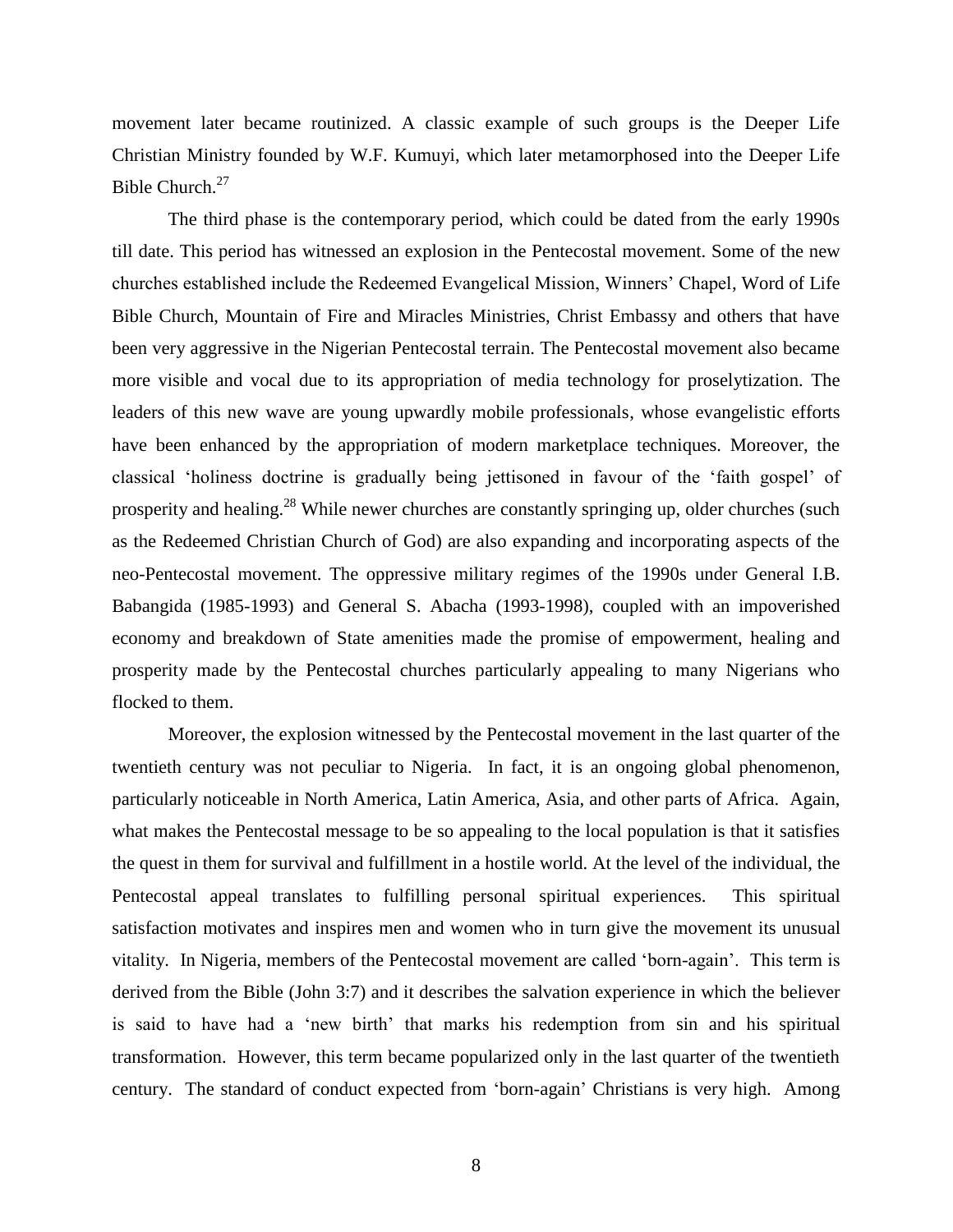movement later became routinized. A classic example of such groups is the Deeper Life Christian Ministry founded by W.F. Kumuyi, which later metamorphosed into the Deeper Life Bible Church.<sup>27</sup>

The third phase is the contemporary period, which could be dated from the early 1990s till date. This period has witnessed an explosion in the Pentecostal movement. Some of the new churches established include the Redeemed Evangelical Mission, Winners' Chapel, Word of Life Bible Church, Mountain of Fire and Miracles Ministries, Christ Embassy and others that have been very aggressive in the Nigerian Pentecostal terrain. The Pentecostal movement also became more visible and vocal due to its appropriation of media technology for proselytization. The leaders of this new wave are young upwardly mobile professionals, whose evangelistic efforts have been enhanced by the appropriation of modern marketplace techniques. Moreover, the classical 'holiness doctrine is gradually being jettisoned in favour of the 'faith gospel' of prosperity and healing.<sup>28</sup> While newer churches are constantly springing up, older churches (such as the Redeemed Christian Church of God) are also expanding and incorporating aspects of the neo-Pentecostal movement. The oppressive military regimes of the 1990s under General I.B. Babangida (1985-1993) and General S. Abacha (1993-1998), coupled with an impoverished economy and breakdown of State amenities made the promise of empowerment, healing and prosperity made by the Pentecostal churches particularly appealing to many Nigerians who flocked to them.

Moreover, the explosion witnessed by the Pentecostal movement in the last quarter of the twentieth century was not peculiar to Nigeria. In fact, it is an ongoing global phenomenon, particularly noticeable in North America, Latin America, Asia, and other parts of Africa. Again, what makes the Pentecostal message to be so appealing to the local population is that it satisfies the quest in them for survival and fulfillment in a hostile world. At the level of the individual, the Pentecostal appeal translates to fulfilling personal spiritual experiences. This spiritual satisfaction motivates and inspires men and women who in turn give the movement its unusual vitality. In Nigeria, members of the Pentecostal movement are called 'born-again'. This term is derived from the Bible (John 3:7) and it describes the salvation experience in which the believer is said to have had a 'new birth' that marks his redemption from sin and his spiritual transformation. However, this term became popularized only in the last quarter of the twentieth century. The standard of conduct expected from 'born-again' Christians is very high. Among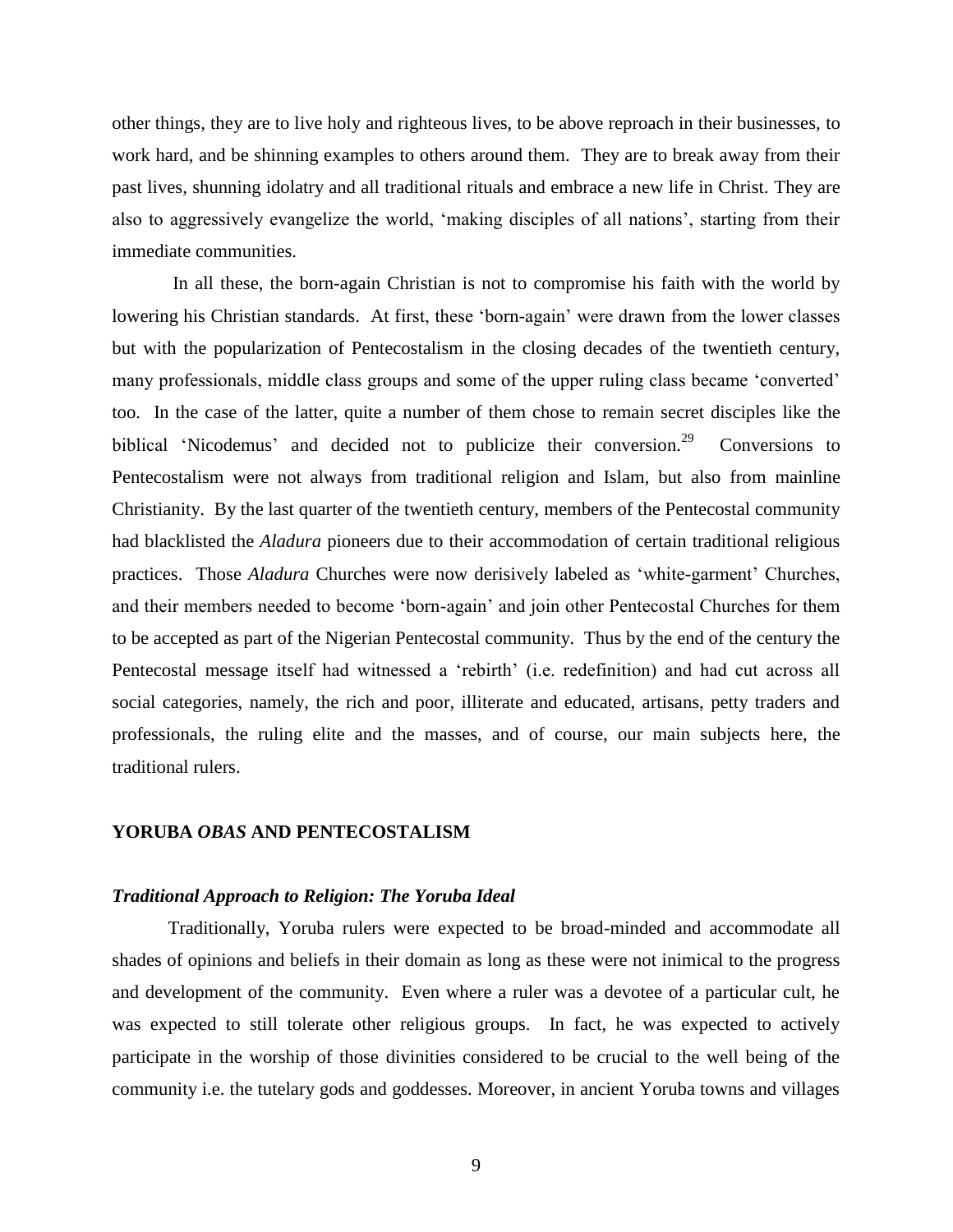other things, they are to live holy and righteous lives, to be above reproach in their businesses, to work hard, and be shinning examples to others around them. They are to break away from their past lives, shunning idolatry and all traditional rituals and embrace a new life in Christ. They are also to aggressively evangelize the world, 'making disciples of all nations', starting from their immediate communities.

In all these, the born-again Christian is not to compromise his faith with the world by lowering his Christian standards. At first, these 'born-again' were drawn from the lower classes but with the popularization of Pentecostalism in the closing decades of the twentieth century, many professionals, middle class groups and some of the upper ruling class became 'converted' too. In the case of the latter, quite a number of them chose to remain secret disciples like the biblical 'Nicodemus' and decided not to publicize their conversion.<sup>29</sup> Conversions to Pentecostalism were not always from traditional religion and Islam, but also from mainline Christianity. By the last quarter of the twentieth century, members of the Pentecostal community had blacklisted the *Aladura* pioneers due to their accommodation of certain traditional religious practices. Those *Aladura* Churches were now derisively labeled as 'white-garment' Churches, and their members needed to become 'born-again' and join other Pentecostal Churches for them to be accepted as part of the Nigerian Pentecostal community. Thus by the end of the century the Pentecostal message itself had witnessed a 'rebirth' (i.e. redefinition) and had cut across all social categories, namely, the rich and poor, illiterate and educated, artisans, petty traders and professionals, the ruling elite and the masses, and of course, our main subjects here, the traditional rulers.

## **YORUBA** *OBAS* **AND PENTECOSTALISM**

#### *Traditional Approach to Religion: The Yoruba Ideal*

Traditionally, Yoruba rulers were expected to be broad-minded and accommodate all shades of opinions and beliefs in their domain as long as these were not inimical to the progress and development of the community. Even where a ruler was a devotee of a particular cult, he was expected to still tolerate other religious groups. In fact, he was expected to actively participate in the worship of those divinities considered to be crucial to the well being of the community i.e. the tutelary gods and goddesses. Moreover, in ancient Yoruba towns and villages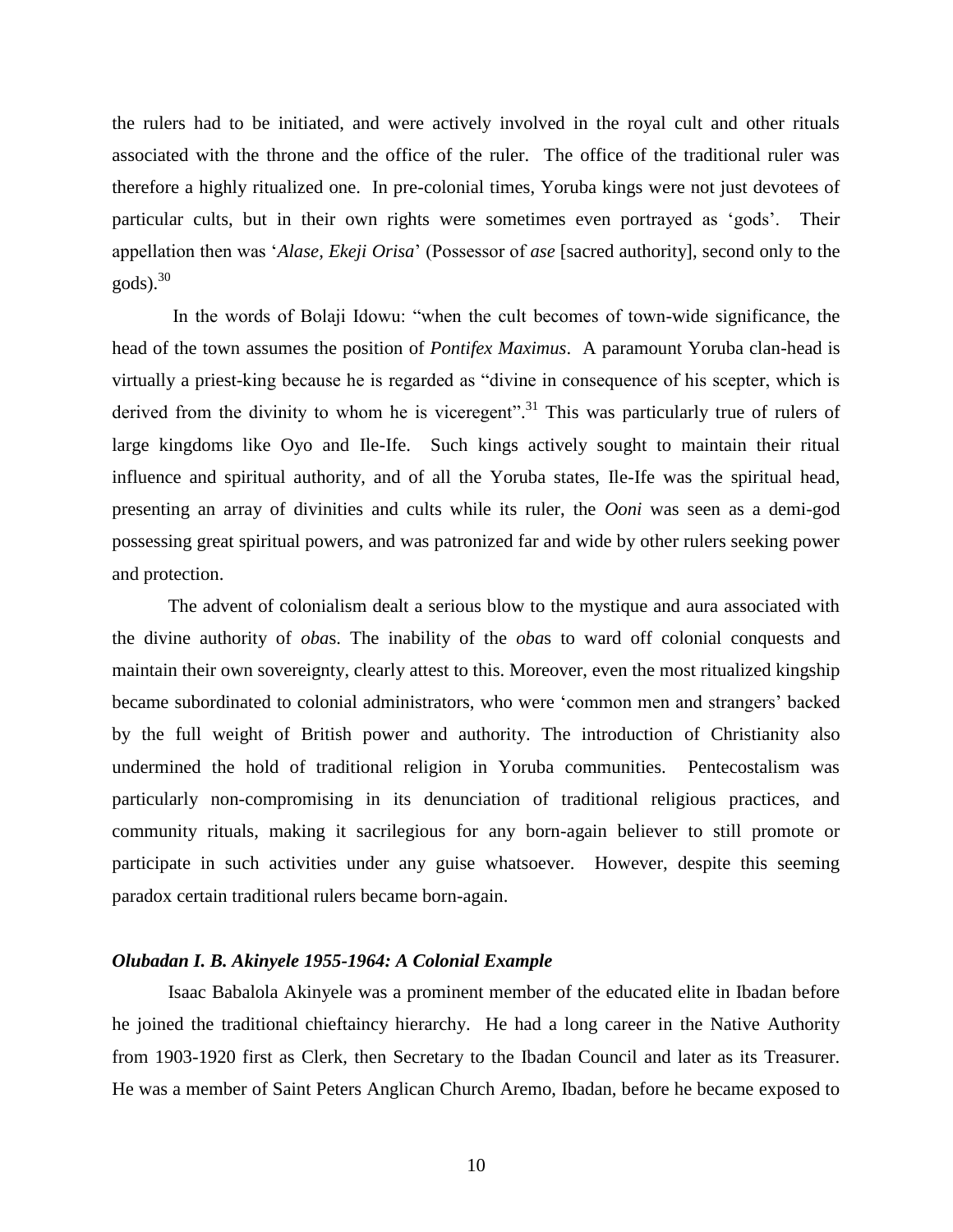the rulers had to be initiated, and were actively involved in the royal cult and other rituals associated with the throne and the office of the ruler. The office of the traditional ruler was therefore a highly ritualized one. In pre-colonial times, Yoruba kings were not just devotees of particular cults, but in their own rights were sometimes even portrayed as 'gods'. Their appellation then was '*Alase, Ekeji Orisa*' (Possessor of *ase* [sacred authority], second only to the gods).<sup>30</sup>

In the words of Bolaji Idowu: "when the cult becomes of town-wide significance, the head of the town assumes the position of *Pontifex Maximus*. A paramount Yoruba clan-head is virtually a priest-king because he is regarded as "divine in consequence of his scepter, which is derived from the divinity to whom he is viceregent".<sup>31</sup> This was particularly true of rulers of large kingdoms like Oyo and Ile-Ife. Such kings actively sought to maintain their ritual influence and spiritual authority, and of all the Yoruba states, Ile-Ife was the spiritual head, presenting an array of divinities and cults while its ruler, the *Ooni* was seen as a demi-god possessing great spiritual powers, and was patronized far and wide by other rulers seeking power and protection.

The advent of colonialism dealt a serious blow to the mystique and aura associated with the divine authority of *oba*s. The inability of the *oba*s to ward off colonial conquests and maintain their own sovereignty, clearly attest to this. Moreover, even the most ritualized kingship became subordinated to colonial administrators, who were 'common men and strangers' backed by the full weight of British power and authority. The introduction of Christianity also undermined the hold of traditional religion in Yoruba communities. Pentecostalism was particularly non-compromising in its denunciation of traditional religious practices, and community rituals, making it sacrilegious for any born-again believer to still promote or participate in such activities under any guise whatsoever. However, despite this seeming paradox certain traditional rulers became born-again.

## *Olubadan I. B. Akinyele 1955-1964: A Colonial Example*

Isaac Babalola Akinyele was a prominent member of the educated elite in Ibadan before he joined the traditional chieftaincy hierarchy. He had a long career in the Native Authority from 1903-1920 first as Clerk, then Secretary to the Ibadan Council and later as its Treasurer. He was a member of Saint Peters Anglican Church Aremo, Ibadan, before he became exposed to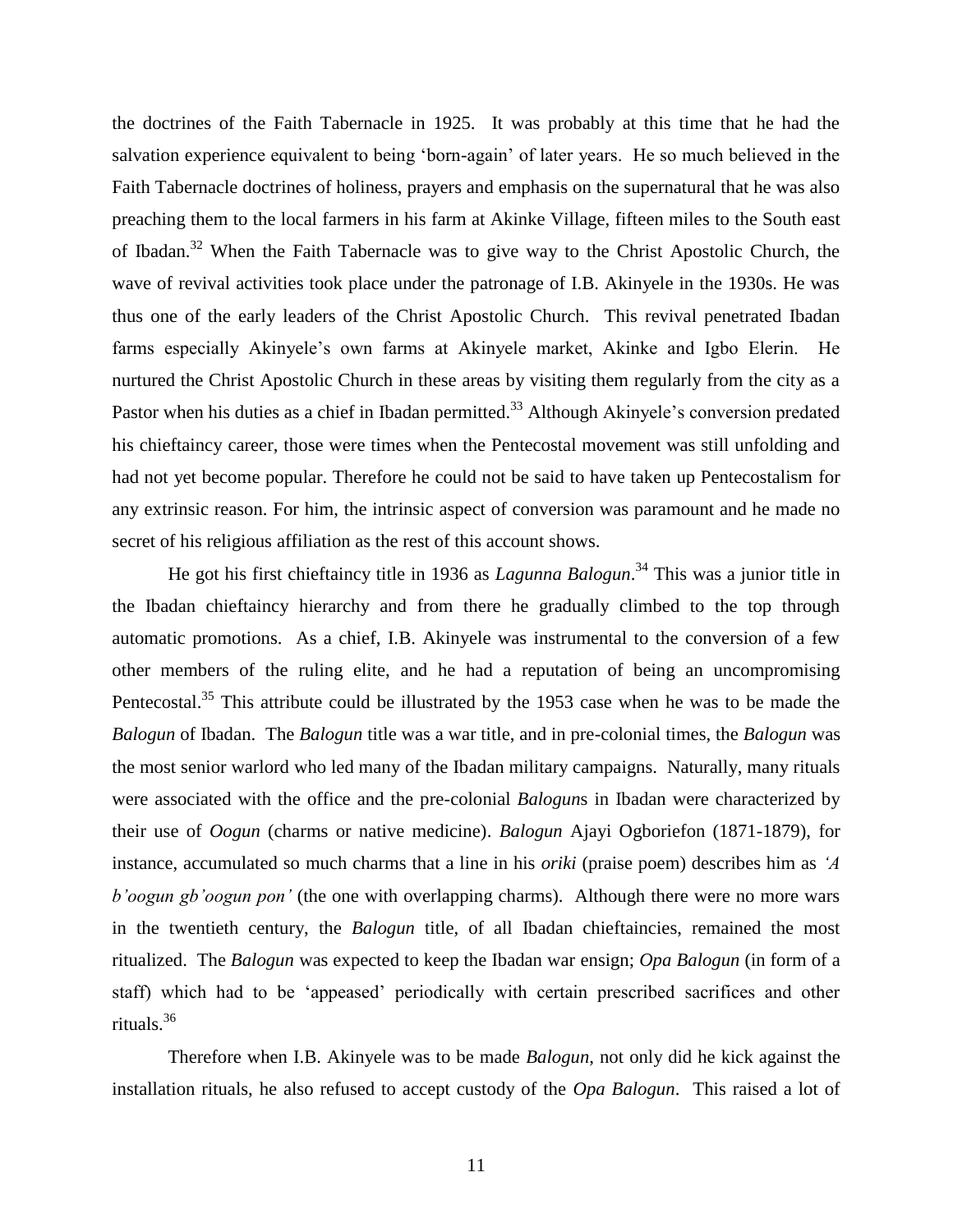the doctrines of the Faith Tabernacle in 1925. It was probably at this time that he had the salvation experience equivalent to being 'born-again' of later years. He so much believed in the Faith Tabernacle doctrines of holiness, prayers and emphasis on the supernatural that he was also preaching them to the local farmers in his farm at Akinke Village, fifteen miles to the South east of Ibadan.<sup>32</sup> When the Faith Tabernacle was to give way to the Christ Apostolic Church, the wave of revival activities took place under the patronage of I.B. Akinyele in the 1930s. He was thus one of the early leaders of the Christ Apostolic Church. This revival penetrated Ibadan farms especially Akinyele's own farms at Akinyele market, Akinke and Igbo Elerin. He nurtured the Christ Apostolic Church in these areas by visiting them regularly from the city as a Pastor when his duties as a chief in Ibadan permitted.<sup>33</sup> Although Akinyele's conversion predated his chieftaincy career, those were times when the Pentecostal movement was still unfolding and had not yet become popular. Therefore he could not be said to have taken up Pentecostalism for any extrinsic reason. For him, the intrinsic aspect of conversion was paramount and he made no secret of his religious affiliation as the rest of this account shows.

He got his first chieftaincy title in 1936 as *Lagunna Balogun*. <sup>34</sup> This was a junior title in the Ibadan chieftaincy hierarchy and from there he gradually climbed to the top through automatic promotions. As a chief, I.B. Akinyele was instrumental to the conversion of a few other members of the ruling elite, and he had a reputation of being an uncompromising Pentecostal.<sup>35</sup> This attribute could be illustrated by the 1953 case when he was to be made the *Balogun* of Ibadan. The *Balogun* title was a war title, and in pre-colonial times, the *Balogun* was the most senior warlord who led many of the Ibadan military campaigns. Naturally, many rituals were associated with the office and the pre-colonial *Balogun*s in Ibadan were characterized by their use of *Oogun* (charms or native medicine). *Balogun* Ajayi Ogboriefon (1871-1879), for instance, accumulated so much charms that a line in his *oriki* (praise poem) describes him as *'A b'oogun gb'oogun pon'* (the one with overlapping charms). Although there were no more wars in the twentieth century, the *Balogun* title, of all Ibadan chieftaincies, remained the most ritualized. The *Balogun* was expected to keep the Ibadan war ensign; *Opa Balogun* (in form of a staff) which had to be 'appeased' periodically with certain prescribed sacrifices and other rituals. 36

Therefore when I.B. Akinyele was to be made *Balogun*, not only did he kick against the installation rituals, he also refused to accept custody of the *Opa Balogun*. This raised a lot of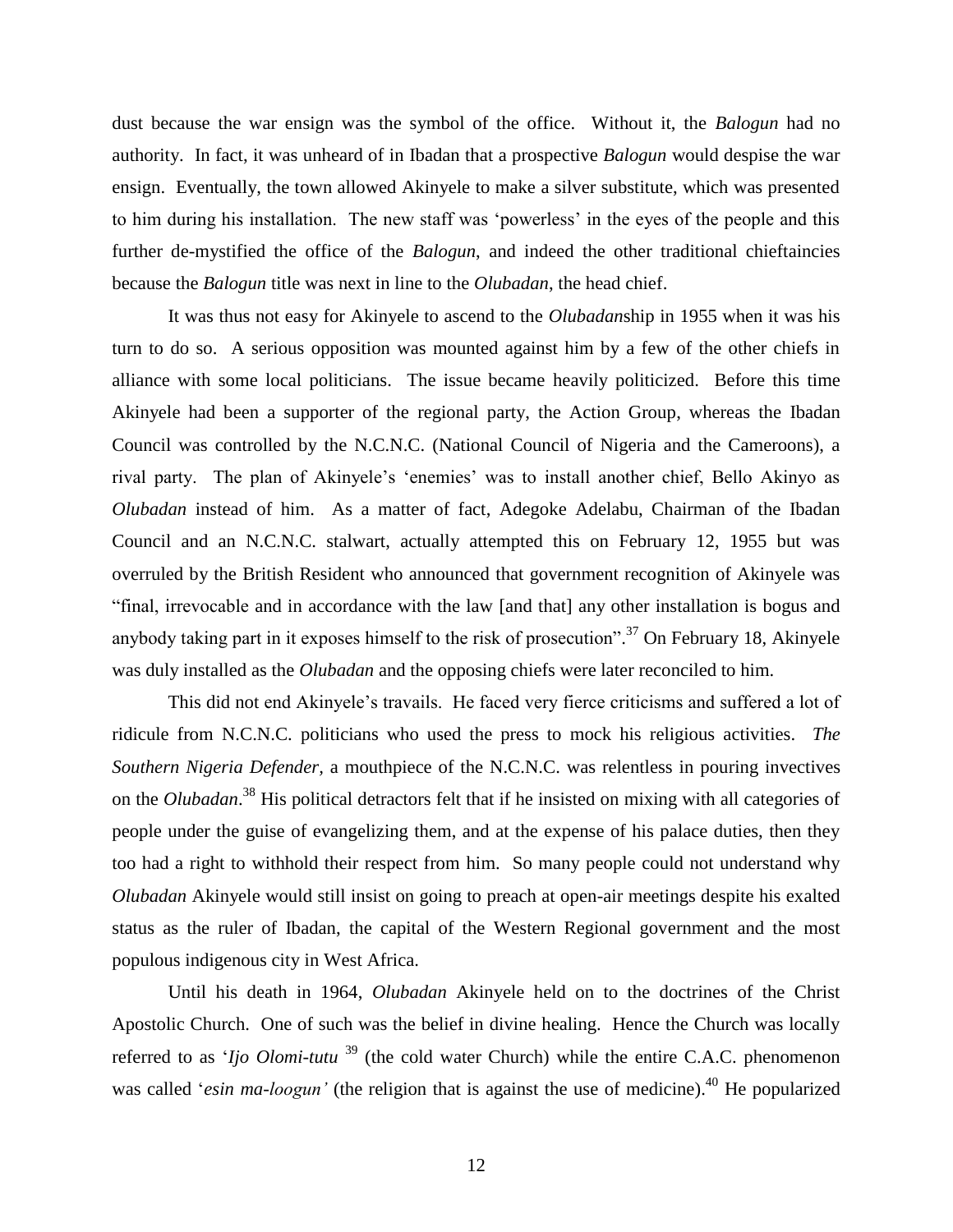dust because the war ensign was the symbol of the office. Without it, the *Balogun* had no authority. In fact, it was unheard of in Ibadan that a prospective *Balogun* would despise the war ensign. Eventually, the town allowed Akinyele to make a silver substitute, which was presented to him during his installation. The new staff was 'powerless' in the eyes of the people and this further de-mystified the office of the *Balogun*, and indeed the other traditional chieftaincies because the *Balogun* title was next in line to the *Olubadan*, the head chief.

It was thus not easy for Akinyele to ascend to the *Olubadan*ship in 1955 when it was his turn to do so. A serious opposition was mounted against him by a few of the other chiefs in alliance with some local politicians. The issue became heavily politicized. Before this time Akinyele had been a supporter of the regional party, the Action Group, whereas the Ibadan Council was controlled by the N.C.N.C. (National Council of Nigeria and the Cameroons), a rival party. The plan of Akinyele's 'enemies' was to install another chief, Bello Akinyo as *Olubadan* instead of him. As a matter of fact, Adegoke Adelabu, Chairman of the Ibadan Council and an N.C.N.C. stalwart, actually attempted this on February 12, 1955 but was overruled by the British Resident who announced that government recognition of Akinyele was "final, irrevocable and in accordance with the law [and that] any other installation is bogus and anybody taking part in it exposes himself to the risk of prosecution".<sup>37</sup> On February 18, Akinyele was duly installed as the *Olubadan* and the opposing chiefs were later reconciled to him.

This did not end Akinyele's travails. He faced very fierce criticisms and suffered a lot of ridicule from N.C.N.C. politicians who used the press to mock his religious activities. *The Southern Nigeria Defender,* a mouthpiece of the N.C.N.C. was relentless in pouring invectives on the *Olubadan*. <sup>38</sup> His political detractors felt that if he insisted on mixing with all categories of people under the guise of evangelizing them, and at the expense of his palace duties, then they too had a right to withhold their respect from him. So many people could not understand why *Olubadan* Akinyele would still insist on going to preach at open-air meetings despite his exalted status as the ruler of Ibadan, the capital of the Western Regional government and the most populous indigenous city in West Africa.

Until his death in 1964, *Olubadan* Akinyele held on to the doctrines of the Christ Apostolic Church. One of such was the belief in divine healing. Hence the Church was locally referred to as '*Ijo Olomi-tutu*<sup>39</sup> (the cold water Church) while the entire C.A.C. phenomenon was called '*esin ma-loogun'* (the religion that is against the use of medicine).<sup>40</sup> He popularized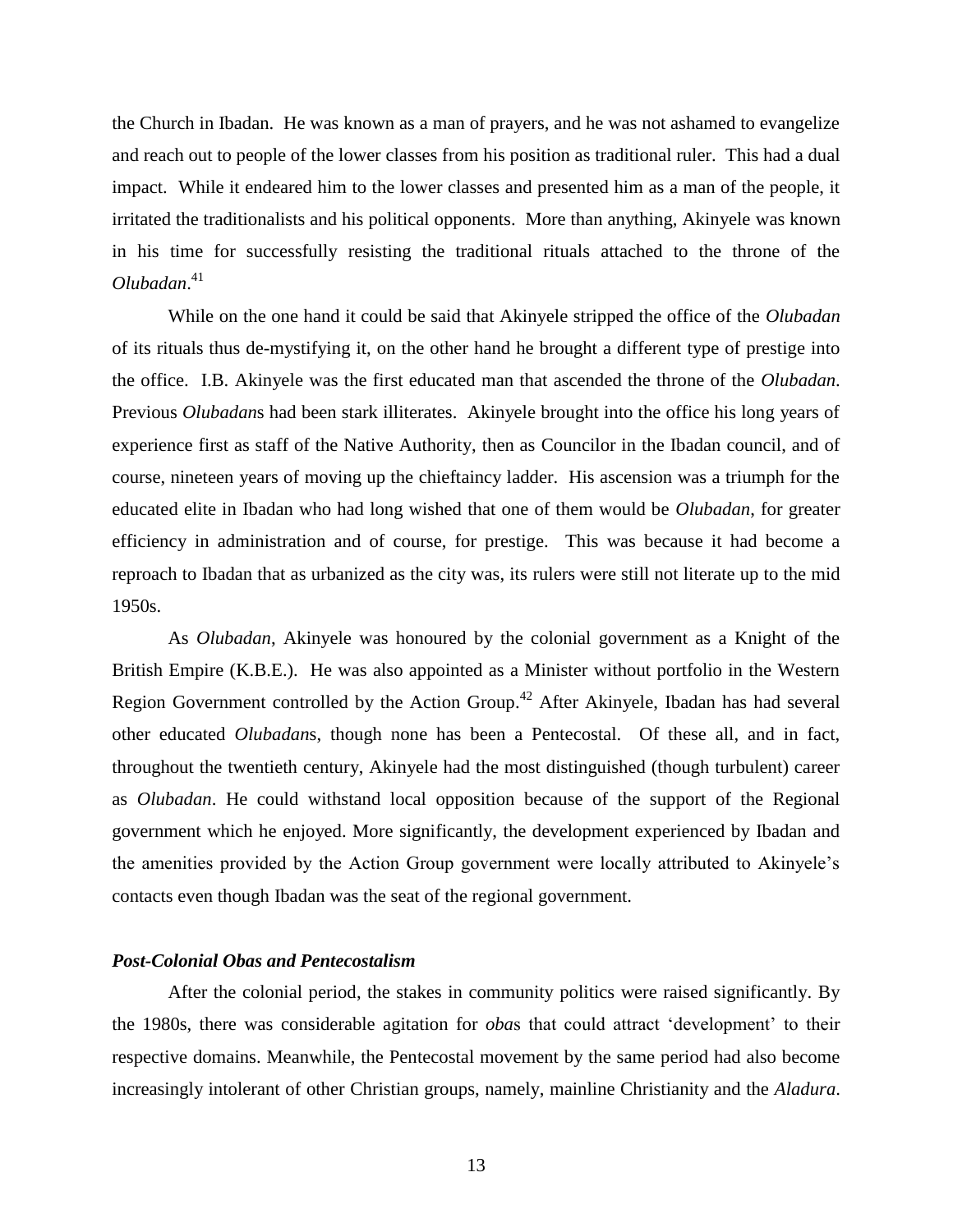the Church in Ibadan. He was known as a man of prayers, and he was not ashamed to evangelize and reach out to people of the lower classes from his position as traditional ruler. This had a dual impact. While it endeared him to the lower classes and presented him as a man of the people, it irritated the traditionalists and his political opponents. More than anything, Akinyele was known in his time for successfully resisting the traditional rituals attached to the throne of the *Olubadan*. 41

While on the one hand it could be said that Akinyele stripped the office of the *Olubadan* of its rituals thus de-mystifying it, on the other hand he brought a different type of prestige into the office. I.B. Akinyele was the first educated man that ascended the throne of the *Olubadan*. Previous *Olubadan*s had been stark illiterates. Akinyele brought into the office his long years of experience first as staff of the Native Authority, then as Councilor in the Ibadan council, and of course, nineteen years of moving up the chieftaincy ladder. His ascension was a triumph for the educated elite in Ibadan who had long wished that one of them would be *Olubadan*, for greater efficiency in administration and of course, for prestige. This was because it had become a reproach to Ibadan that as urbanized as the city was, its rulers were still not literate up to the mid 1950s.

As *Olubadan*, Akinyele was honoured by the colonial government as a Knight of the British Empire (K.B.E.). He was also appointed as a Minister without portfolio in the Western Region Government controlled by the Action Group.<sup>42</sup> After Akinyele, Ibadan has had several other educated *Olubadan*s, though none has been a Pentecostal. Of these all, and in fact, throughout the twentieth century, Akinyele had the most distinguished (though turbulent) career as *Olubadan*. He could withstand local opposition because of the support of the Regional government which he enjoyed. More significantly, the development experienced by Ibadan and the amenities provided by the Action Group government were locally attributed to Akinyele's contacts even though Ibadan was the seat of the regional government.

# *Post-Colonial Obas and Pentecostalism*

After the colonial period, the stakes in community politics were raised significantly. By the 1980s, there was considerable agitation for *oba*s that could attract 'development' to their respective domains. Meanwhile, the Pentecostal movement by the same period had also become increasingly intolerant of other Christian groups, namely, mainline Christianity and the *Aladura*.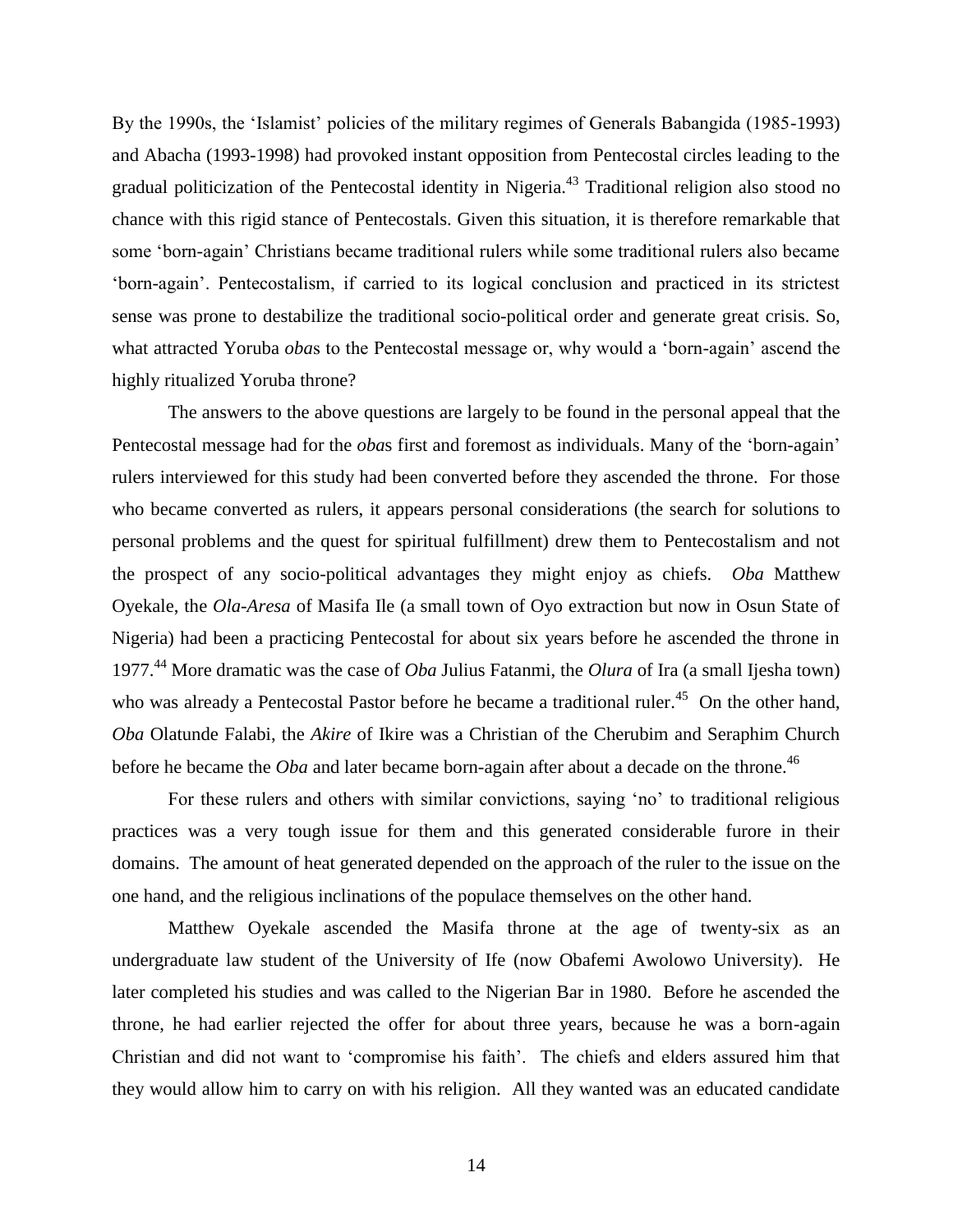By the 1990s, the 'Islamist' policies of the military regimes of Generals Babangida (1985-1993) and Abacha (1993-1998) had provoked instant opposition from Pentecostal circles leading to the gradual politicization of the Pentecostal identity in Nigeria.<sup>43</sup> Traditional religion also stood no chance with this rigid stance of Pentecostals. Given this situation, it is therefore remarkable that some 'born-again' Christians became traditional rulers while some traditional rulers also became 'born-again'. Pentecostalism, if carried to its logical conclusion and practiced in its strictest sense was prone to destabilize the traditional socio-political order and generate great crisis. So, what attracted Yoruba *oba*s to the Pentecostal message or, why would a 'born-again' ascend the highly ritualized Yoruba throne?

The answers to the above questions are largely to be found in the personal appeal that the Pentecostal message had for the *oba*s first and foremost as individuals. Many of the 'born-again' rulers interviewed for this study had been converted before they ascended the throne. For those who became converted as rulers, it appears personal considerations (the search for solutions to personal problems and the quest for spiritual fulfillment) drew them to Pentecostalism and not the prospect of any socio-political advantages they might enjoy as chiefs. *Oba* Matthew Oyekale, the *Ola-Aresa* of Masifa Ile (a small town of Oyo extraction but now in Osun State of Nigeria) had been a practicing Pentecostal for about six years before he ascended the throne in 1977. <sup>44</sup> More dramatic was the case of *Oba* Julius Fatanmi, the *Olura* of Ira (a small Ijesha town) who was already a Pentecostal Pastor before he became a traditional ruler.<sup>45</sup> On the other hand, *Oba* Olatunde Falabi, the *Akire* of Ikire was a Christian of the Cherubim and Seraphim Church before he became the *Oba* and later became born-again after about a decade on the throne.<sup>46</sup>

For these rulers and others with similar convictions, saying 'no' to traditional religious practices was a very tough issue for them and this generated considerable furore in their domains. The amount of heat generated depended on the approach of the ruler to the issue on the one hand, and the religious inclinations of the populace themselves on the other hand.

Matthew Oyekale ascended the Masifa throne at the age of twenty-six as an undergraduate law student of the University of Ife (now Obafemi Awolowo University). He later completed his studies and was called to the Nigerian Bar in 1980. Before he ascended the throne, he had earlier rejected the offer for about three years, because he was a born-again Christian and did not want to 'compromise his faith'. The chiefs and elders assured him that they would allow him to carry on with his religion. All they wanted was an educated candidate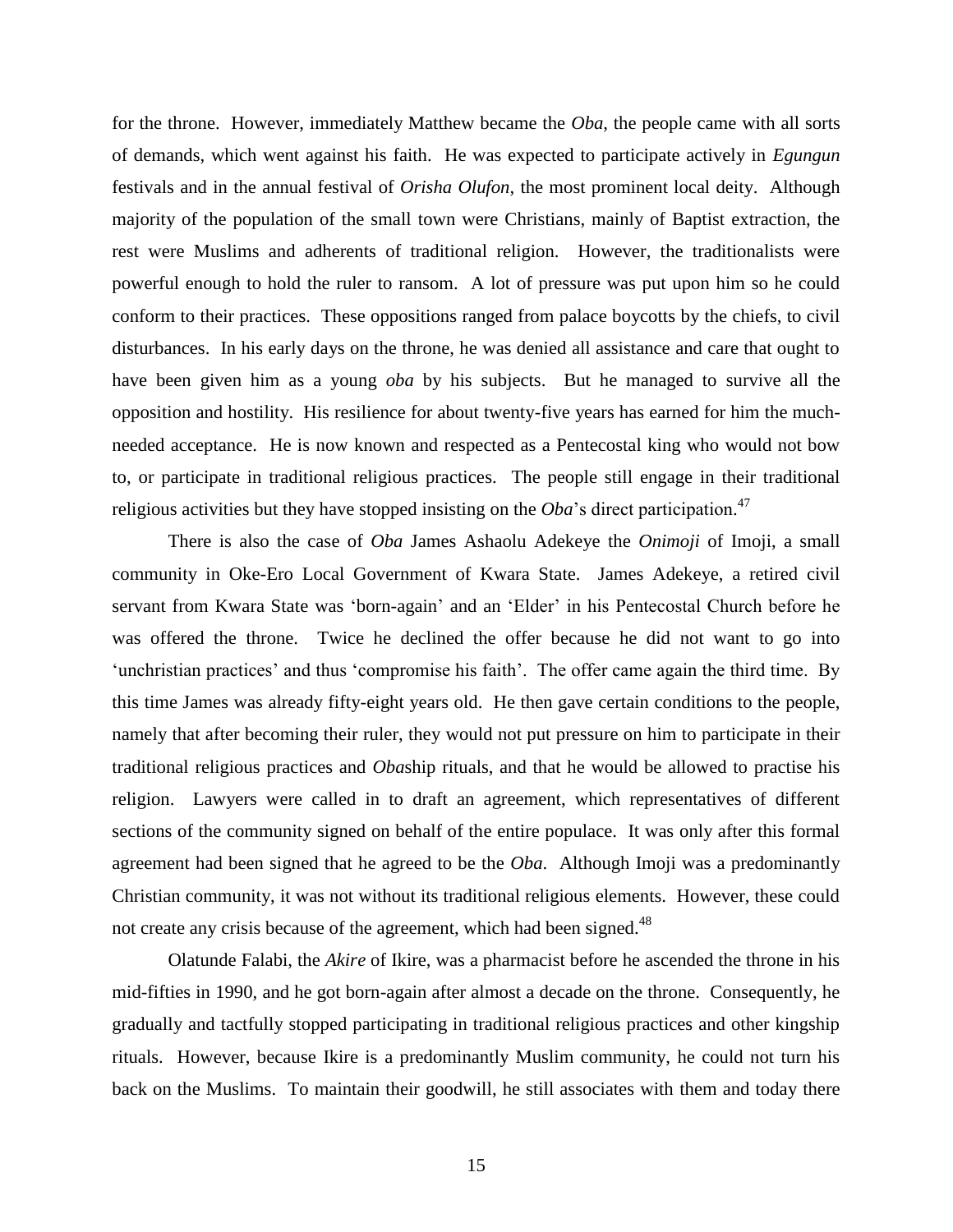for the throne. However, immediately Matthew became the *Oba*, the people came with all sorts of demands, which went against his faith. He was expected to participate actively in *Egungun* festivals and in the annual festival of *Orisha Olufon*, the most prominent local deity. Although majority of the population of the small town were Christians, mainly of Baptist extraction, the rest were Muslims and adherents of traditional religion. However, the traditionalists were powerful enough to hold the ruler to ransom. A lot of pressure was put upon him so he could conform to their practices. These oppositions ranged from palace boycotts by the chiefs, to civil disturbances. In his early days on the throne, he was denied all assistance and care that ought to have been given him as a young *oba* by his subjects. But he managed to survive all the opposition and hostility. His resilience for about twenty-five years has earned for him the muchneeded acceptance. He is now known and respected as a Pentecostal king who would not bow to, or participate in traditional religious practices. The people still engage in their traditional religious activities but they have stopped insisting on the *Oba*'s direct participation. 47

There is also the case of *Oba* James Ashaolu Adekeye the *Onimoji* of Imoji, a small community in Oke-Ero Local Government of Kwara State. James Adekeye, a retired civil servant from Kwara State was 'born-again' and an 'Elder' in his Pentecostal Church before he was offered the throne. Twice he declined the offer because he did not want to go into 'unchristian practices' and thus 'compromise his faith'. The offer came again the third time. By this time James was already fifty-eight years old. He then gave certain conditions to the people, namely that after becoming their ruler, they would not put pressure on him to participate in their traditional religious practices and *Oba*ship rituals, and that he would be allowed to practise his religion. Lawyers were called in to draft an agreement, which representatives of different sections of the community signed on behalf of the entire populace. It was only after this formal agreement had been signed that he agreed to be the *Oba*. Although Imoji was a predominantly Christian community, it was not without its traditional religious elements. However, these could not create any crisis because of the agreement, which had been signed.<sup>48</sup>

Olatunde Falabi, the *Akire* of Ikire, was a pharmacist before he ascended the throne in his mid-fifties in 1990, and he got born-again after almost a decade on the throne. Consequently, he gradually and tactfully stopped participating in traditional religious practices and other kingship rituals. However, because Ikire is a predominantly Muslim community, he could not turn his back on the Muslims. To maintain their goodwill, he still associates with them and today there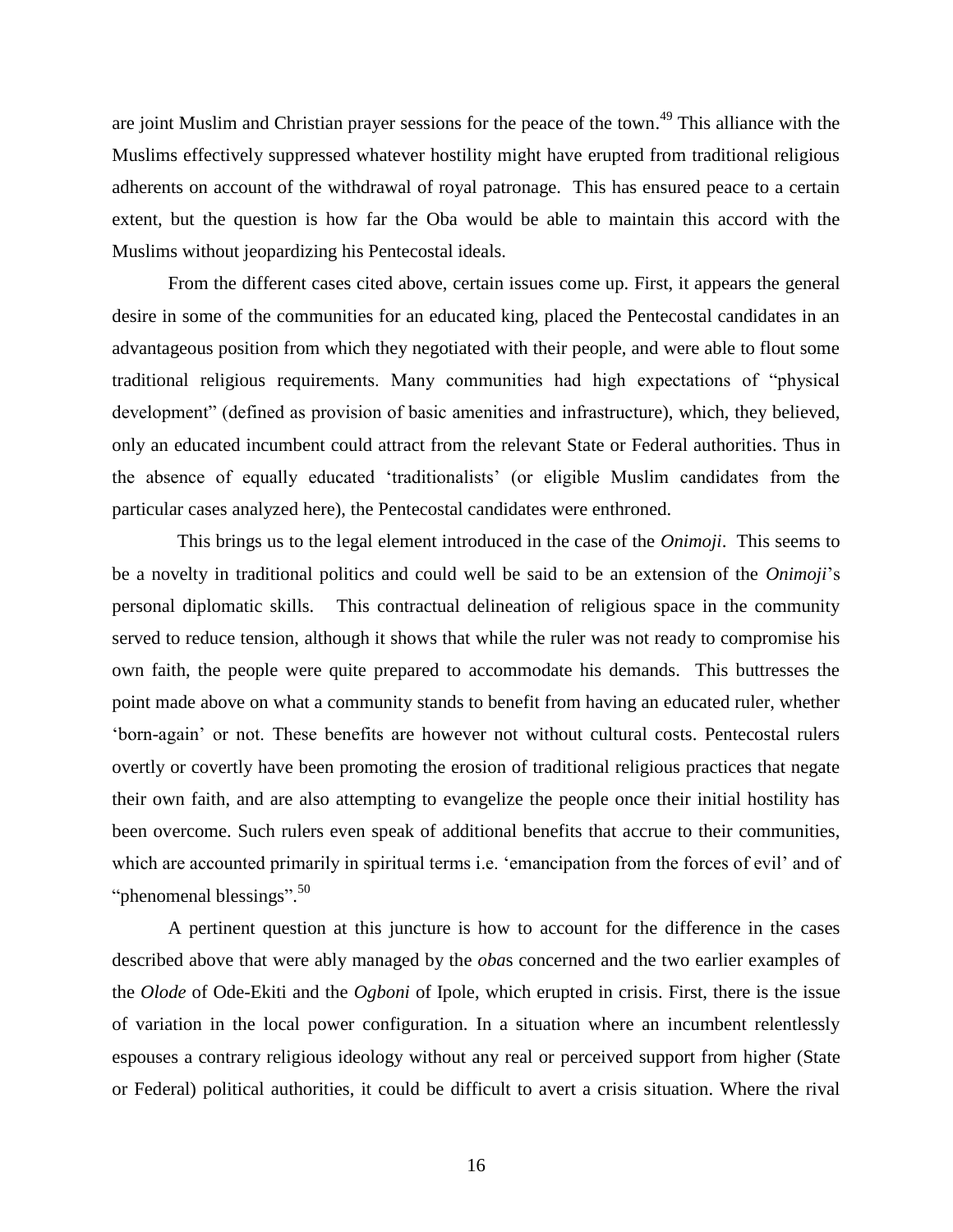are joint Muslim and Christian prayer sessions for the peace of the town.<sup>49</sup> This alliance with the Muslims effectively suppressed whatever hostility might have erupted from traditional religious adherents on account of the withdrawal of royal patronage. This has ensured peace to a certain extent, but the question is how far the Oba would be able to maintain this accord with the Muslims without jeopardizing his Pentecostal ideals.

From the different cases cited above, certain issues come up. First, it appears the general desire in some of the communities for an educated king, placed the Pentecostal candidates in an advantageous position from which they negotiated with their people, and were able to flout some traditional religious requirements. Many communities had high expectations of "physical development" (defined as provision of basic amenities and infrastructure), which, they believed, only an educated incumbent could attract from the relevant State or Federal authorities. Thus in the absence of equally educated 'traditionalists' (or eligible Muslim candidates from the particular cases analyzed here), the Pentecostal candidates were enthroned.

 This brings us to the legal element introduced in the case of the *Onimoji*. This seems to be a novelty in traditional politics and could well be said to be an extension of the *Onimoji*'s personal diplomatic skills. This contractual delineation of religious space in the community served to reduce tension, although it shows that while the ruler was not ready to compromise his own faith, the people were quite prepared to accommodate his demands. This buttresses the point made above on what a community stands to benefit from having an educated ruler, whether 'born-again' or not. These benefits are however not without cultural costs. Pentecostal rulers overtly or covertly have been promoting the erosion of traditional religious practices that negate their own faith, and are also attempting to evangelize the people once their initial hostility has been overcome. Such rulers even speak of additional benefits that accrue to their communities, which are accounted primarily in spiritual terms i.e. 'emancipation from the forces of evil' and of "phenomenal blessings".<sup>50</sup>

A pertinent question at this juncture is how to account for the difference in the cases described above that were ably managed by the *oba*s concerned and the two earlier examples of the *Olode* of Ode-Ekiti and the *Ogboni* of Ipole, which erupted in crisis. First, there is the issue of variation in the local power configuration. In a situation where an incumbent relentlessly espouses a contrary religious ideology without any real or perceived support from higher (State or Federal) political authorities, it could be difficult to avert a crisis situation. Where the rival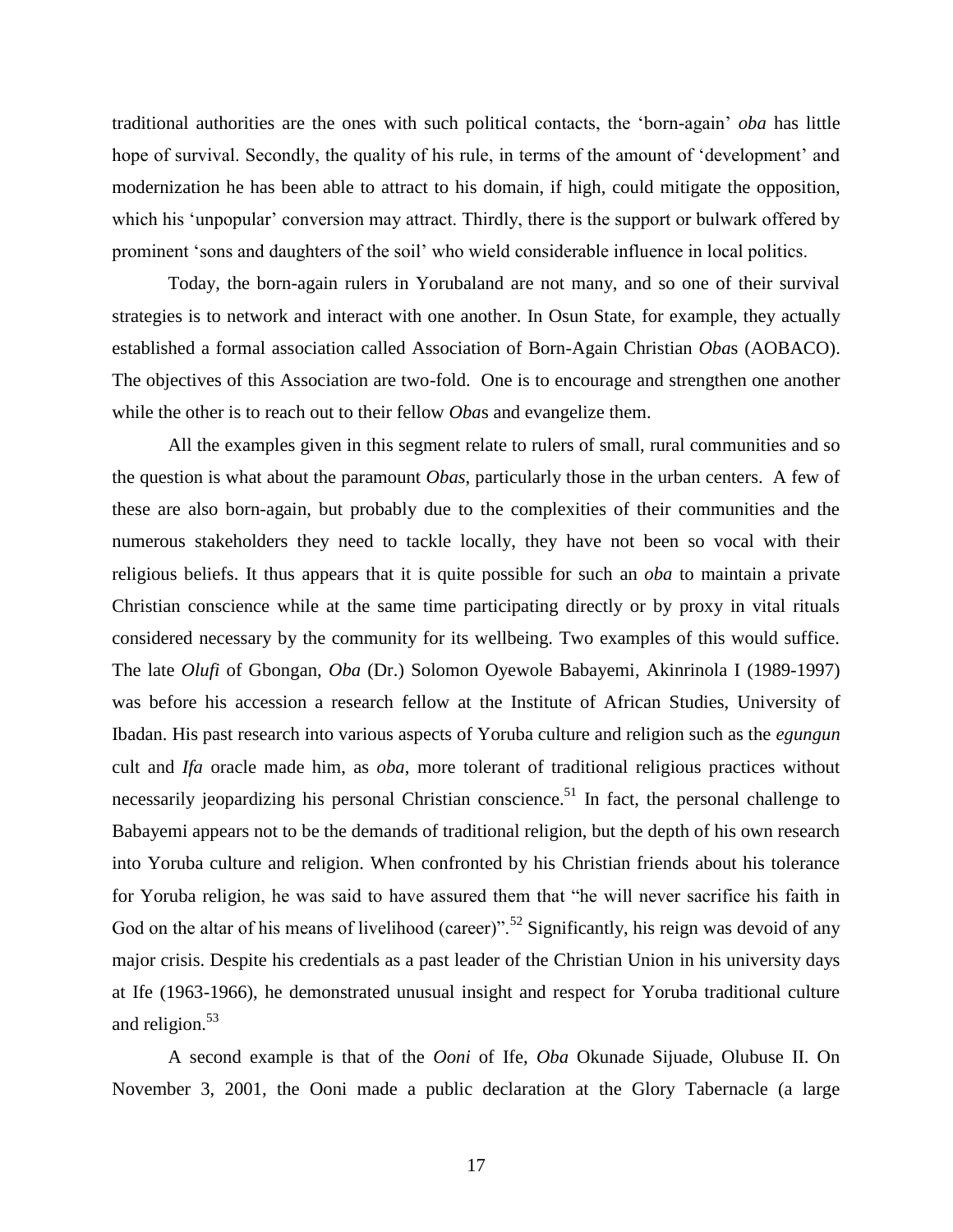traditional authorities are the ones with such political contacts, the 'born-again' *oba* has little hope of survival. Secondly, the quality of his rule, in terms of the amount of 'development' and modernization he has been able to attract to his domain, if high, could mitigate the opposition, which his 'unpopular' conversion may attract. Thirdly, there is the support or bulwark offered by prominent 'sons and daughters of the soil' who wield considerable influence in local politics.

Today, the born-again rulers in Yorubaland are not many, and so one of their survival strategies is to network and interact with one another. In Osun State, for example, they actually established a formal association called Association of Born-Again Christian *Oba*s (AOBACO). The objectives of this Association are two-fold. One is to encourage and strengthen one another while the other is to reach out to their fellow *Oba*s and evangelize them.

All the examples given in this segment relate to rulers of small, rural communities and so the question is what about the paramount *Obas*, particularly those in the urban centers. A few of these are also born-again, but probably due to the complexities of their communities and the numerous stakeholders they need to tackle locally, they have not been so vocal with their religious beliefs. It thus appears that it is quite possible for such an *oba* to maintain a private Christian conscience while at the same time participating directly or by proxy in vital rituals considered necessary by the community for its wellbeing. Two examples of this would suffice. The late *Olufi* of Gbongan, *Oba* (Dr.) Solomon Oyewole Babayemi, Akinrinola I (1989-1997) was before his accession a research fellow at the Institute of African Studies, University of Ibadan. His past research into various aspects of Yoruba culture and religion such as the *egungun* cult and *Ifa* oracle made him, as *oba*, more tolerant of traditional religious practices without necessarily jeopardizing his personal Christian conscience.<sup>51</sup> In fact, the personal challenge to Babayemi appears not to be the demands of traditional religion, but the depth of his own research into Yoruba culture and religion. When confronted by his Christian friends about his tolerance for Yoruba religion, he was said to have assured them that "he will never sacrifice his faith in God on the altar of his means of livelihood (career)".<sup>52</sup> Significantly, his reign was devoid of any major crisis. Despite his credentials as a past leader of the Christian Union in his university days at Ife (1963-1966), he demonstrated unusual insight and respect for Yoruba traditional culture and religion.<sup>53</sup>

A second example is that of the *Ooni* of Ife, *Oba* Okunade Sijuade, Olubuse II. On November 3, 2001, the Ooni made a public declaration at the Glory Tabernacle (a large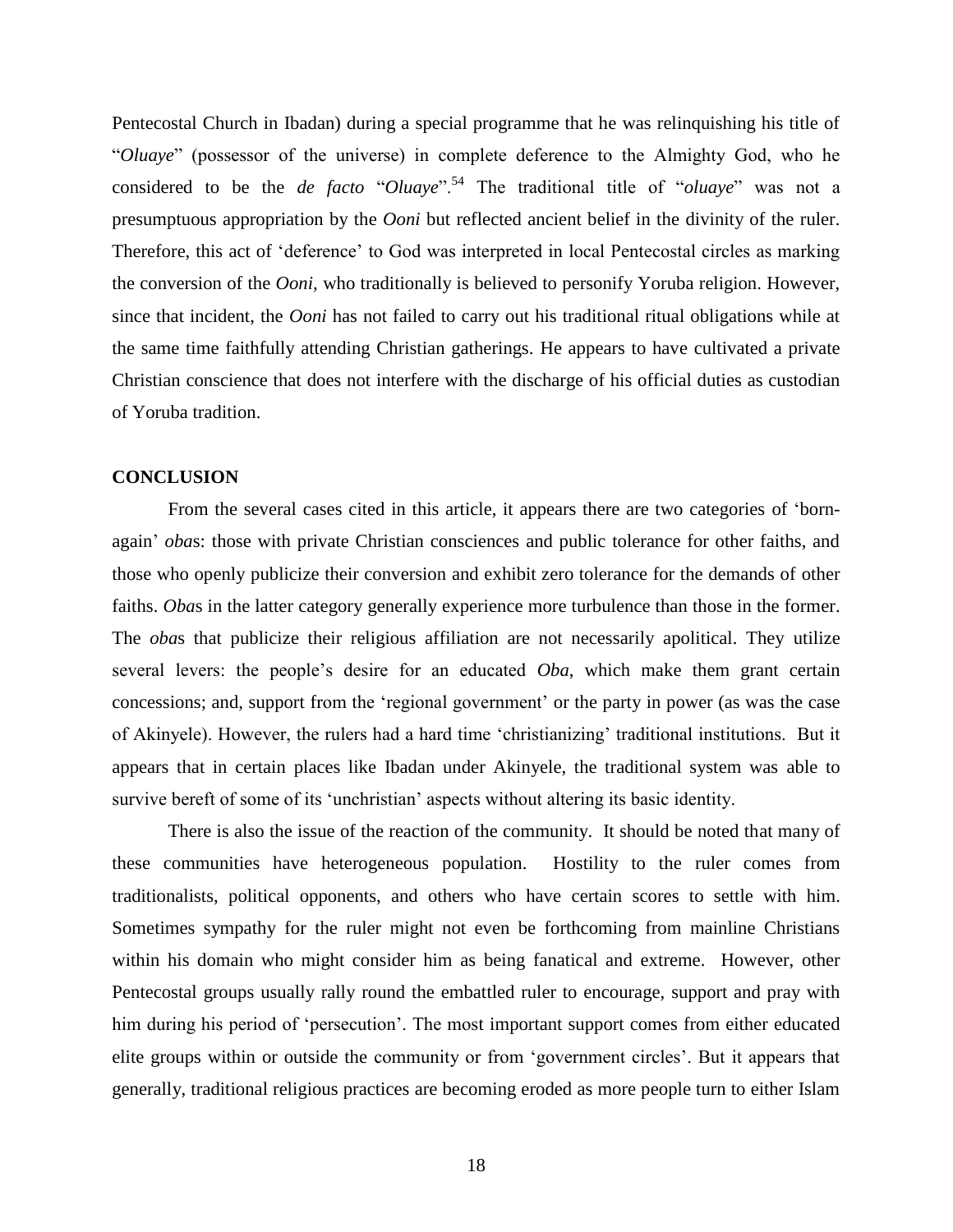Pentecostal Church in Ibadan) during a special programme that he was relinquishing his title of "*Oluaye*" (possessor of the universe) in complete deference to the Almighty God, who he considered to be the *de facto* "*Oluaye*".<sup>54</sup> The traditional title of "*oluaye*" was not a presumptuous appropriation by the *Ooni* but reflected ancient belief in the divinity of the ruler. Therefore, this act of 'deference' to God was interpreted in local Pentecostal circles as marking the conversion of the *Ooni,* who traditionally is believed to personify Yoruba religion. However, since that incident, the *Ooni* has not failed to carry out his traditional ritual obligations while at the same time faithfully attending Christian gatherings. He appears to have cultivated a private Christian conscience that does not interfere with the discharge of his official duties as custodian of Yoruba tradition.

#### **CONCLUSION**

From the several cases cited in this article, it appears there are two categories of 'bornagain' *oba*s: those with private Christian consciences and public tolerance for other faiths, and those who openly publicize their conversion and exhibit zero tolerance for the demands of other faiths. *Oba*s in the latter category generally experience more turbulence than those in the former. The *oba*s that publicize their religious affiliation are not necessarily apolitical. They utilize several levers: the people's desire for an educated *Oba*, which make them grant certain concessions; and, support from the 'regional government' or the party in power (as was the case of Akinyele). However, the rulers had a hard time 'christianizing' traditional institutions. But it appears that in certain places like Ibadan under Akinyele, the traditional system was able to survive bereft of some of its 'unchristian' aspects without altering its basic identity.

There is also the issue of the reaction of the community. It should be noted that many of these communities have heterogeneous population. Hostility to the ruler comes from traditionalists, political opponents, and others who have certain scores to settle with him. Sometimes sympathy for the ruler might not even be forthcoming from mainline Christians within his domain who might consider him as being fanatical and extreme. However, other Pentecostal groups usually rally round the embattled ruler to encourage, support and pray with him during his period of 'persecution'. The most important support comes from either educated elite groups within or outside the community or from 'government circles'. But it appears that generally, traditional religious practices are becoming eroded as more people turn to either Islam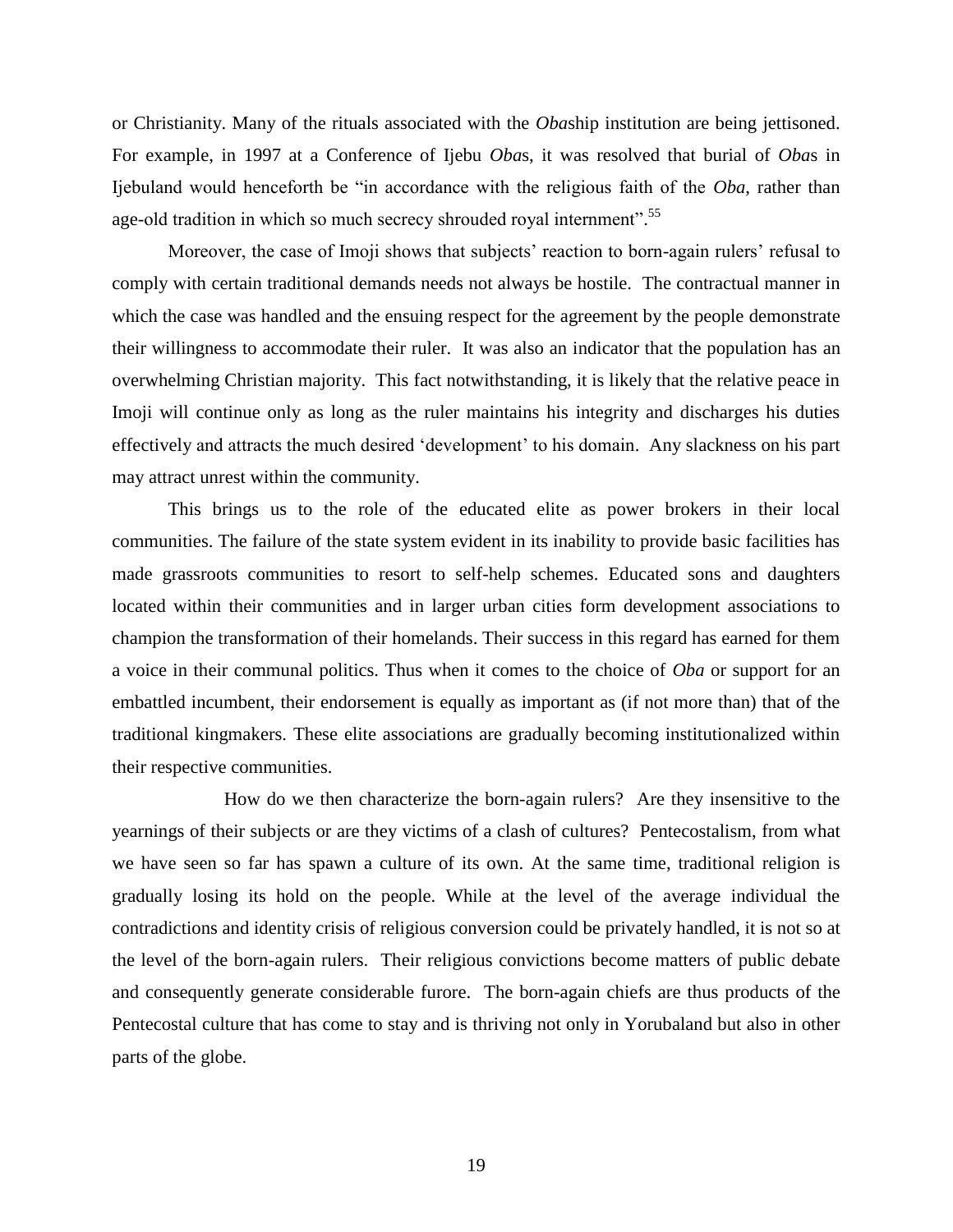or Christianity. Many of the rituals associated with the *Oba*ship institution are being jettisoned. For example, in 1997 at a Conference of Ijebu *Oba*s, it was resolved that burial of *Oba*s in Ijebuland would henceforth be "in accordance with the religious faith of the *Oba*, rather than age-old tradition in which so much secrecy shrouded royal internment".<sup>55</sup>

Moreover, the case of Imoji shows that subjects' reaction to born-again rulers' refusal to comply with certain traditional demands needs not always be hostile. The contractual manner in which the case was handled and the ensuing respect for the agreement by the people demonstrate their willingness to accommodate their ruler. It was also an indicator that the population has an overwhelming Christian majority. This fact notwithstanding, it is likely that the relative peace in Imoji will continue only as long as the ruler maintains his integrity and discharges his duties effectively and attracts the much desired 'development' to his domain. Any slackness on his part may attract unrest within the community.

This brings us to the role of the educated elite as power brokers in their local communities. The failure of the state system evident in its inability to provide basic facilities has made grassroots communities to resort to self-help schemes. Educated sons and daughters located within their communities and in larger urban cities form development associations to champion the transformation of their homelands. Their success in this regard has earned for them a voice in their communal politics. Thus when it comes to the choice of *Oba* or support for an embattled incumbent, their endorsement is equally as important as (if not more than) that of the traditional kingmakers. These elite associations are gradually becoming institutionalized within their respective communities.

How do we then characterize the born-again rulers? Are they insensitive to the yearnings of their subjects or are they victims of a clash of cultures? Pentecostalism, from what we have seen so far has spawn a culture of its own. At the same time, traditional religion is gradually losing its hold on the people. While at the level of the average individual the contradictions and identity crisis of religious conversion could be privately handled, it is not so at the level of the born-again rulers. Their religious convictions become matters of public debate and consequently generate considerable furore. The born-again chiefs are thus products of the Pentecostal culture that has come to stay and is thriving not only in Yorubaland but also in other parts of the globe.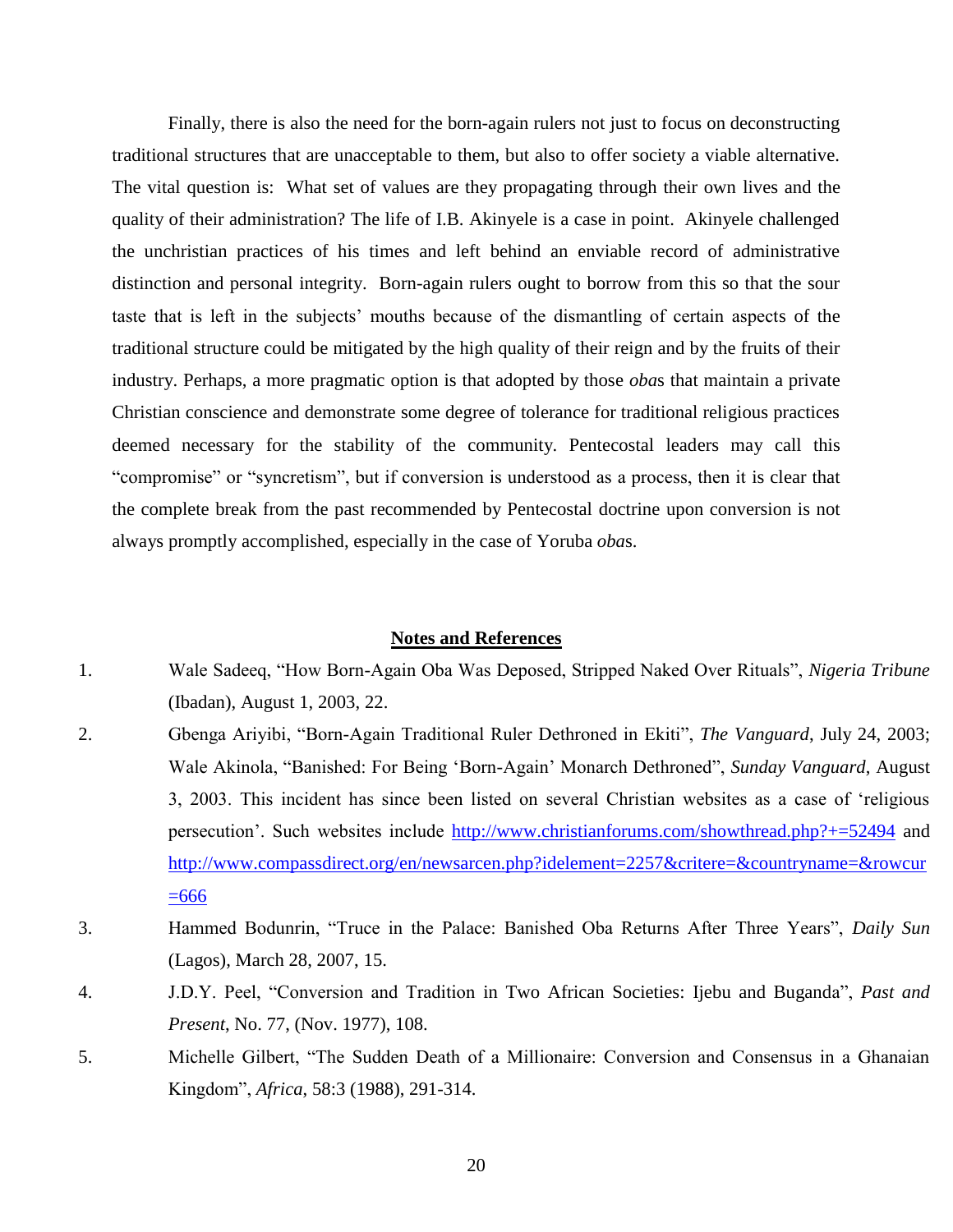Finally, there is also the need for the born-again rulers not just to focus on deconstructing traditional structures that are unacceptable to them, but also to offer society a viable alternative. The vital question is: What set of values are they propagating through their own lives and the quality of their administration? The life of I.B. Akinyele is a case in point. Akinyele challenged the unchristian practices of his times and left behind an enviable record of administrative distinction and personal integrity. Born-again rulers ought to borrow from this so that the sour taste that is left in the subjects' mouths because of the dismantling of certain aspects of the traditional structure could be mitigated by the high quality of their reign and by the fruits of their industry. Perhaps, a more pragmatic option is that adopted by those *oba*s that maintain a private Christian conscience and demonstrate some degree of tolerance for traditional religious practices deemed necessary for the stability of the community. Pentecostal leaders may call this "compromise" or "syncretism", but if conversion is understood as a process, then it is clear that the complete break from the past recommended by Pentecostal doctrine upon conversion is not always promptly accomplished, especially in the case of Yoruba *oba*s.

#### **Notes and References**

- 1. Wale Sadeeq, "How Born-Again Oba Was Deposed, Stripped Naked Over Rituals", *Nigeria Tribune* (Ibadan), August 1, 2003, 22.
- 2. Gbenga Ariyibi, "Born-Again Traditional Ruler Dethroned in Ekiti", *The Vanguard*, July 24, 2003; Wale Akinola, "Banished: For Being 'Born-Again' Monarch Dethroned", *Sunday Vanguard*, August 3, 2003. This incident has since been listed on several Christian websites as a case of 'religious persecution'. Such websites include<http://www.christianforums.com/showthread.php?+=52494> and [http://www.compassdirect.org/en/newsarcen.php?idelement=2257&critere=&countryname=&rowcur](http://www.compassdirect.org/en/newsarcen.php?idelement=2257&critere=&countryname=&rowcur=666)  $\equiv 666$
- 3. Hammed Bodunrin, "Truce in the Palace: Banished Oba Returns After Three Years", *Daily Sun* (Lagos), March 28, 2007, 15.
- 4. J.D.Y. Peel, "Conversion and Tradition in Two African Societies: Ijebu and Buganda", *Past and Present*, No. 77, (Nov. 1977), 108.
- 5. Michelle Gilbert, "The Sudden Death of a Millionaire: Conversion and Consensus in a Ghanaian Kingdom", *Africa*, 58:3 (1988), 291-314.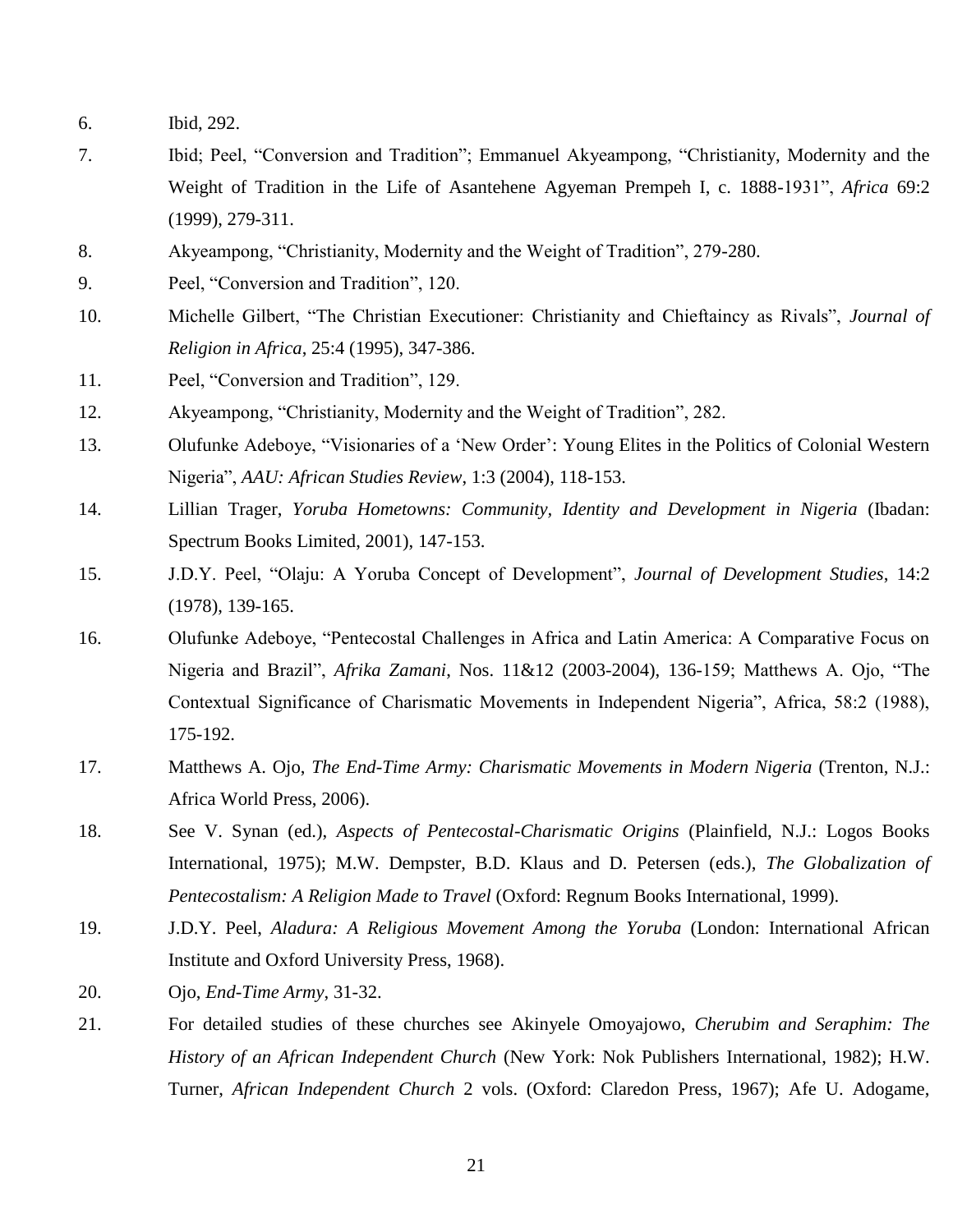- 6. Ibid, 292.
- 7. Ibid; Peel, "Conversion and Tradition"; Emmanuel Akyeampong, "Christianity, Modernity and the Weight of Tradition in the Life of Asantehene Agyeman Prempeh I, c. 1888-1931", *Africa* 69:2 (1999), 279-311.
- 8. Akyeampong, "Christianity, Modernity and the Weight of Tradition", 279-280.
- 9. Peel, "Conversion and Tradition", 120.
- 10. Michelle Gilbert, "The Christian Executioner: Christianity and Chieftaincy as Rivals", *Journal of Religion in Africa*, 25:4 (1995), 347-386.
- 11. Peel, "Conversion and Tradition", 129.
- 12. Akyeampong, "Christianity, Modernity and the Weight of Tradition", 282.
- 13. Olufunke Adeboye, "Visionaries of a 'New Order': Young Elites in the Politics of Colonial Western Nigeria", *AAU: African Studies Review*, 1:3 (2004), 118-153.
- 14. Lillian Trager, *Yoruba Hometowns: Community, Identity and Development in Nigeria* (Ibadan: Spectrum Books Limited, 2001), 147-153.
- 15. J.D.Y. Peel, "Olaju: A Yoruba Concept of Development", *Journal of Development Studies*, 14:2 (1978), 139-165.
- 16. Olufunke Adeboye, "Pentecostal Challenges in Africa and Latin America: A Comparative Focus on Nigeria and Brazil", *Afrika Zamani*, Nos. 11&12 (2003-2004), 136-159; Matthews A. Ojo, "The Contextual Significance of Charismatic Movements in Independent Nigeria", Africa, 58:2 (1988), 175-192.
- 17. Matthews A. Ojo, *The End-Time Army: Charismatic Movements in Modern Nigeria* (Trenton, N.J.: Africa World Press, 2006).
- 18. See V. Synan (ed.), *Aspects of Pentecostal-Charismatic Origins* (Plainfield, N.J.: Logos Books International, 1975); M.W. Dempster, B.D. Klaus and D. Petersen (eds.), *The Globalization of Pentecostalism: A Religion Made to Travel* (Oxford: Regnum Books International, 1999).
- 19. J.D.Y. Peel, *Aladura: A Religious Movement Among the Yoruba* (London: International African Institute and Oxford University Press, 1968).
- 20. Ojo, *End-Time Army*, 31-32.
- 21. For detailed studies of these churches see Akinyele Omoyajowo, *Cherubim and Seraphim: The History of an African Independent Church* (New York: Nok Publishers International, 1982); H.W. Turner, *African Independent Church* 2 vols. (Oxford: Claredon Press, 1967); Afe U. Adogame,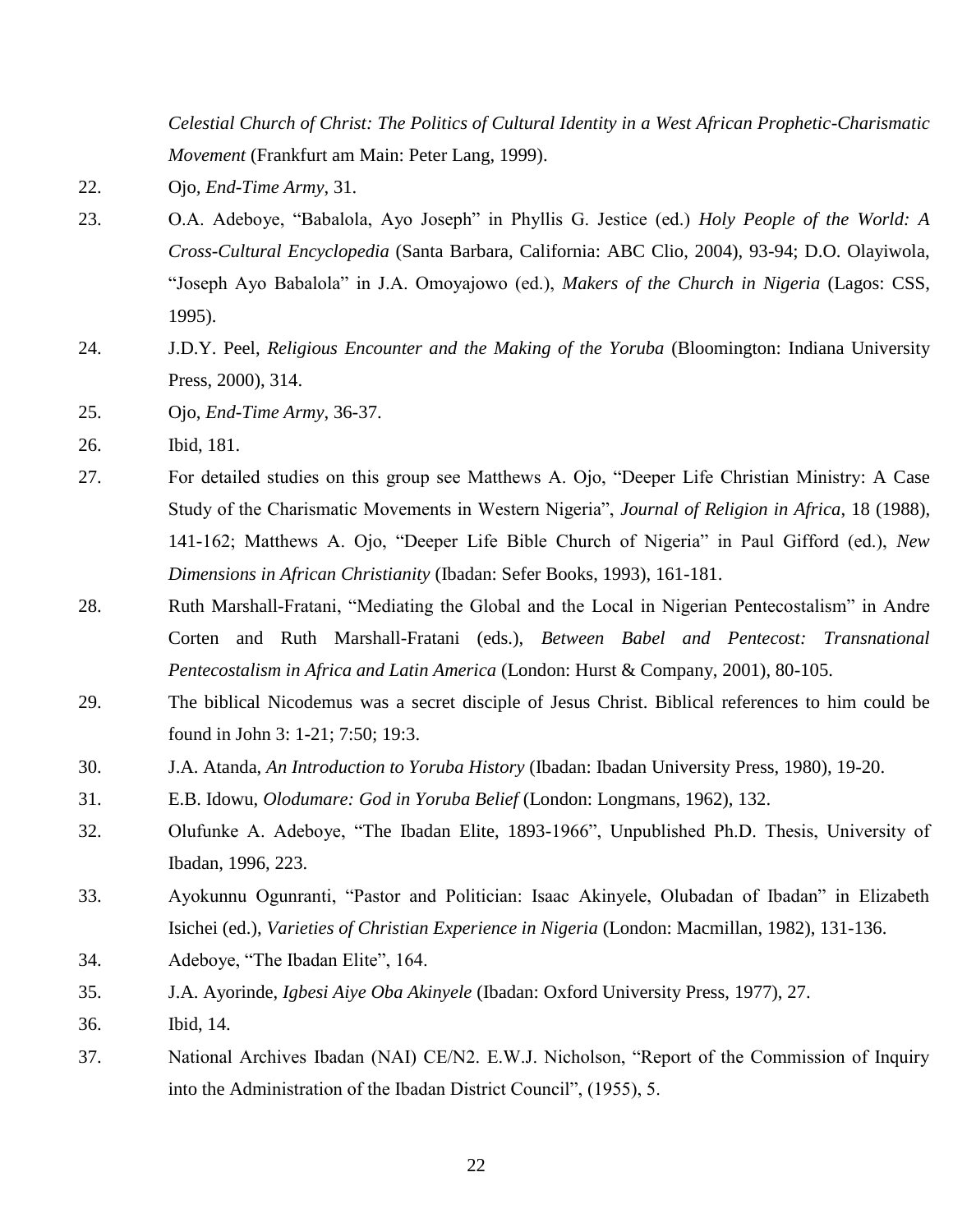*Celestial Church of Christ: The Politics of Cultural Identity in a West African Prophetic-Charismatic Movement* (Frankfurt am Main: Peter Lang, 1999).

- 22. Ojo*, End-Time Army*, 31.
- 23. O.A. Adeboye, "Babalola, Ayo Joseph" in Phyllis G. Jestice (ed.) *Holy People of the World: A Cross-Cultural Encyclopedia* (Santa Barbara, California: ABC Clio, 2004), 93-94; D.O. Olayiwola, "Joseph Ayo Babalola" in J.A. Omoyajowo (ed.), *Makers of the Church in Nigeria* (Lagos: CSS, 1995).
- 24. J.D.Y. Peel, *Religious Encounter and the Making of the Yoruba* (Bloomington: Indiana University Press, 2000), 314.
- 25. Ojo, *End-Time Army*, 36-37.
- 26. Ibid, 181.
- 27. For detailed studies on this group see Matthews A. Ojo, "Deeper Life Christian Ministry: A Case Study of the Charismatic Movements in Western Nigeria", *Journal of Religion in Africa*, 18 (1988), 141-162; Matthews A. Ojo, "Deeper Life Bible Church of Nigeria" in Paul Gifford (ed.), *New Dimensions in African Christianity* (Ibadan: Sefer Books, 1993), 161-181.
- 28. Ruth Marshall-Fratani, "Mediating the Global and the Local in Nigerian Pentecostalism" in Andre Corten and Ruth Marshall-Fratani (eds.), *Between Babel and Pentecost: Transnational Pentecostalism in Africa and Latin America* (London: Hurst & Company, 2001), 80-105.
- 29. The biblical Nicodemus was a secret disciple of Jesus Christ. Biblical references to him could be found in John 3: 1-21; 7:50; 19:3.
- 30. J.A. Atanda, *An Introduction to Yoruba History* (Ibadan: Ibadan University Press, 1980), 19-20.
- 31. E.B. Idowu, *Olodumare: God in Yoruba Belief* (London: Longmans, 1962), 132.
- 32. Olufunke A. Adeboye, "The Ibadan Elite, 1893-1966", Unpublished Ph.D. Thesis, University of Ibadan, 1996, 223.
- 33. Ayokunnu Ogunranti, "Pastor and Politician: Isaac Akinyele, Olubadan of Ibadan" in Elizabeth Isichei (ed.), *Varieties of Christian Experience in Nigeria* (London: Macmillan, 1982), 131-136.
- 34. Adeboye, "The Ibadan Elite", 164.
- 35. J.A. Ayorinde, *Igbesi Aiye Oba Akinyele* (Ibadan: Oxford University Press, 1977), 27.
- 36. Ibid, 14.
- 37. National Archives Ibadan (NAI) CE/N2. E.W.J. Nicholson, "Report of the Commission of Inquiry into the Administration of the Ibadan District Council", (1955), 5.